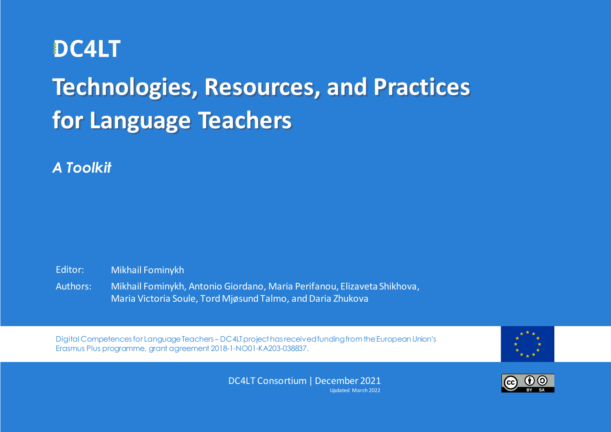

# **Technologies, Resources, and Practices for Language Teachers**

*A Toolkit*

Editor: Mikhail Fominykh

Authors: Mikhail Fominykh, Antonio Giordano, Maria Perifanou, Elizaveta Shikhova, Maria Victoria Soule, Tord Mjøsund Talmo, and Daria Zhukova

Digital Competences for Language Teachers – DC4LT project has received funding from the European Union's Erasmus Plus programme, grant agreement 2018-1-NO01-KA203-038837.



TECHNOLOGIES, RESOURCES, RESOURCES, RESOURCES, AND PRACTICES FOR LANGUAGE TEACHERS – DOCHERS – DOCHERS – DOCHERS – D<br>Teachers – de language teachers – de language 1 of 59 of 59 of 59 of 59 of 59 of 59 of 59 of 59 of 59 of DC4LT Consortium | December 2021 Updated March 2022

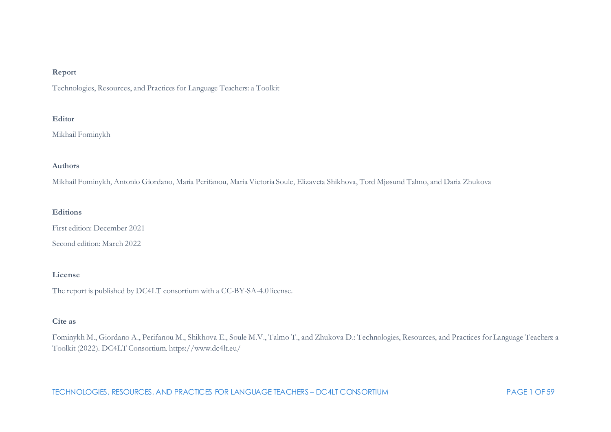#### **Report**

Technologies, Resources, and Practices for Language Teachers: a Toolkit

#### **Editor**

Mikhail Fominykh

#### **Authors**

Mikhail Fominykh, Antonio Giordano, Maria Perifanou, Maria Victoria Soule, Elizaveta Shikhova, Tord Mjøsund Talmo, and Daria Zhukova

#### **Editions**

First edition: December 2021

Second edition: March 2022

#### **License**

The report is published by DC4LT consortium with a CC-BY-SA-4.0 license.

#### **Cite as**

Fominykh M., Giordano A., Perifanou M., Shikhova E., Soule M.V., Talmo T., and Zhukova D.: Technologies, Resources, and Practices for Language Teachers: a Toolkit (2022). DC4LT Consortium. https://www.dc4lt.eu/

TECHNOLOGIES, RESOURCES, AND PRACTICES FOR LANGUAGE TEACHERS – DC4LT CONSORTIUM PAGE 1 OF 59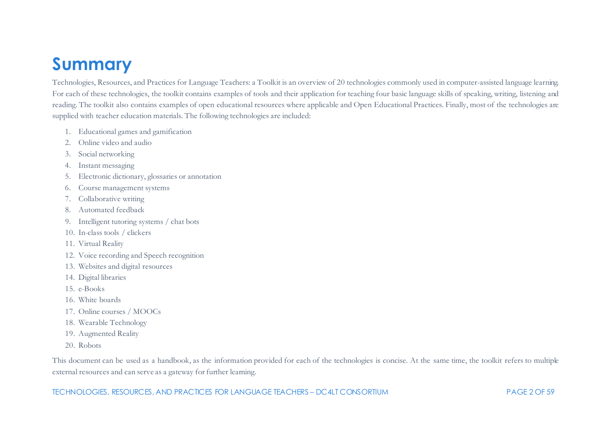# <span id="page-2-0"></span>**Summary**

Technologies, Resources, and Practices for Language Teachers: a Toolkit is an overview of 20 technologies commonly used in computer-assisted language learning. For each of these technologies, the toolkit contains examples of tools and their application for teaching four basic language skills of speaking, writing, listening and reading. The toolkit also contains examples of open educational resources where applicable and Open Educational Practices. Finally, most of the technologies are supplied with teacher education materials. The following technologies are included:

- 1. Educational games and gamification
- 2. Online video and audio
- 3. Social networking
- 4. Instant messaging
- 5. Electronic dictionary, glossaries or annotation
- 6. Course management systems
- 7. Collaborative writing
- 8. Automated feedback
- 9. Intelligent tutoring systems / chat bots
- 10. In-class tools / clickers
- 11. Virtual Reality
- 12. Voice recording and Speech recognition
- 13. Websites and digital resources
- 14. Digital libraries
- 15. e-Books
- 16. White boards
- 17. Online courses / MOOCs
- 18. Wearable Technology
- 19. Augmented Reality
- 20. Robots

This document can be used as a handbook, as the information provided for each of the technologies is concise. At the same time, the toolkit refers to multiple external resources and can serve as a gateway for further learning.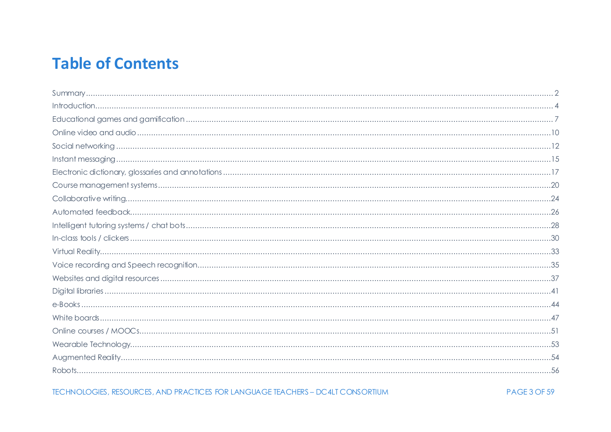# **Table of Contents**

TECHNOLOGIES, RESOURCES, AND PRACTICES FOR LANGUAGE TEACHERS - DC4LT CONSORTIUM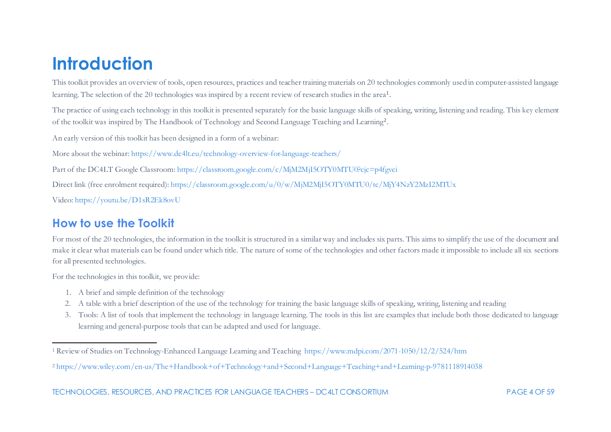# <span id="page-4-2"></span><span id="page-4-1"></span><span id="page-4-0"></span>**Introduction**

This toolkit provides an overview of tools, open resources, practices and teacher training materials on 20 technologies commonly used in computer-assisted language learning. The selection of the 20 technologies was inspired by a recent review of research studies in the area<sup>[1](#page-4-1)</sup>.

The practice of using each technology in this toolkit is presented separately for the basic language skills of speaking, writing, listening and reading. This key element of the toolkit was inspired by The Handbook of Technology and Second Language Teaching and Learning[2](#page-4-2).

An early version of this toolkit has been designed in a form of a webinar:

More about the webinar[: https://www.dc4lt.eu/technology-overview-for-language-teachers/](https://www.dc4lt.eu/technology-overview-for-language-teachers/)

Part of the DC4LT Google Classroom[: https://classroom.google.com/c/MjM2MjI5OTY0MTU0?cjc=p4fgvci](https://classroom.google.com/c/MjM2MjI5OTY0MTU0?cjc=p4fgvci)

Direct link (free enrolment required)[: https://classroom.google.com/u/0/w/MjM2MjI5OTY0MTU0/tc/MjY4NzY2MzI2MTUx](https://classroom.google.com/u/0/w/MjM2MjI5OTY0MTU0/tc/MjY4NzY2MzI2MTUx)

Video:<https://youtu.be/D1sR2Ek8ovU>

# **How to use the Toolkit**

For most of the 20 technologies, the information in the toolkit is structured in a similar way and includes six parts. This aims to simplify the use of the document and make it clear what materials can be found under which title. The nature of some of the technologies and other factors made it impossible to include all six sections for all presented technologies.

For the technologies in this toolkit, we provide:

- 1. A brief and simple definition of the technology
- 2. A table with a brief description of the use of the technology for training the basic language skills of speaking, writing, listening and reading
- 3. Tools: A list of tools that implement the technology in language learning. The tools in this list are examples that include both those dedicated to language learning and general-purpose tools that can be adapted and used for language.

<sup>1</sup> Review of Studies on Technology-Enhanced Language Learning and Teaching<https://www.mdpi.com/2071-1050/12/2/524/htm>

<sup>2</sup> <https://www.wiley.com/en-us/The+Handbook+of+Technology+and+Second+Language+Teaching+and+Learning-p-9781118914038>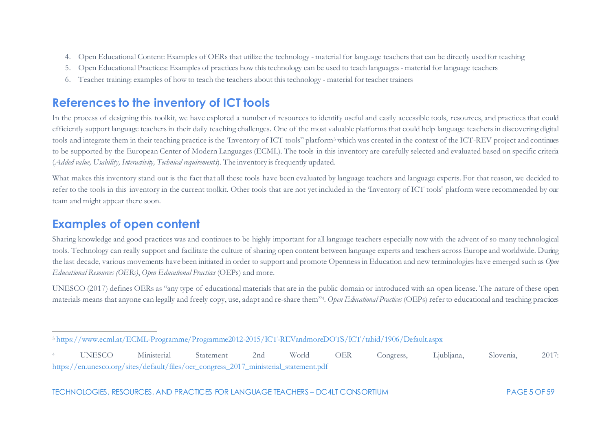- <span id="page-5-1"></span><span id="page-5-0"></span>4. Open Educational Content: Examples of OERs that utilize the technology - material for language teachers that can be directly used for teaching
- 5. Open Educational Practices: Examples of practices how this technology can be used to teach languages material for language teachers
- 6. Teacher training: examples of how to teach the teachers about this technology material for teacher trainers

## **References to the inventory of ICT tools**

In the process of designing this toolkit, we have explored a number of resources to identify useful and easily accessible tools, resources, and practices that could efficiently support language teachers in their daily teaching challenges. One of the most valuable platforms that could help language teachers in discovering digital tools and integrate them in their teaching practice is the 'Inventory of ICT tools" platform<sup>[3](#page-5-0)</sup> which was created in the context of the ICT-REV project and continues to be supported by the European Center of Modern Languages (ECML). The tools in this inventory are carefully selected and evaluated based on specific criteria (*Added value, Usability, Interactivity, Technical requirements*). The inventory is frequently updated.

What makes this inventory stand out is the fact that all these tools have been evaluated by language teachers and language experts. For that reason, we decided to refer to the tools in this inventory in the current toolkit. Other tools that are not yet included in the 'Inventory of ICT tools' platform were recommended by our team and might appear there soon.

## **Examples of open content**

Sharing knowledge and good practices was and continues to be highly important for all language teachers especially now with the advent of so many technological tools. Technology can really support and facilitate the culture of sharing open content between language experts and teachers across Europe and worldwide. During the last decade, various movements have been initiated in order to support and promote Openness in Education and new terminologies have emerged such as *Open Educational Resources (OERs)*, *Open Educational Practices* (OEPs) and more.

UNESCO (2017) defines OERs as "any type of educational materials that are in the public domain or introduced with an open license. The nature of these open materials means that anyone can legally and freely copy, use, adapt and re-share them["4.](#page-5-1) *Open Educational Practices* (OEPs) refer to educational and teaching practices

<sup>3</sup> <https://www.ecml.at/ECML-Programme/Programme2012-2015/ICT-REVandmoreDOTS/ICT/tabid/1906/Default.aspx>

<sup>4</sup> UNESCO Ministerial Statement 2nd World OER Congress, Ljubljana, Slovenia, 2017: [https://en.unesco.org/sites/default/files/oer\\_congress\\_2017\\_ministerial\\_statement.pdf](https://en.unesco.org/sites/default/files/oer_congress_2017_ministerial_statement.pdf)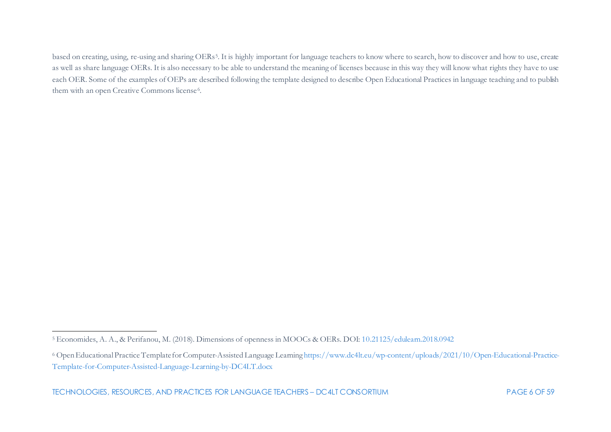<span id="page-6-1"></span><span id="page-6-0"></span>based on creating, using, re-using and sharing OERs<sup>[5](#page-6-0)</sup>. It is highly important for language teachers to know where to search, how to discover and how to use, create as well as share language OERs. It is also necessary to be able to understand the meaning of licenses because in this way they will know what rights they have to use each OER. Some of the examples of OEPs are described following the template designed to describe Open Educational Practices in language teaching and to publish them with an open Creative Commons license<sup>[6](#page-6-1)</sup>.

<sup>5</sup> Economides, A. A., & Perifanou, M. (2018). Dimensions of openness in MOOCs & OERs. DOI[: 10.21125/edulearn.2018.0942](https://doi.org/10.21125/edulearn.2018.0942)

<sup>6</sup> Open Educational Practice Template for Computer-Assisted Language Learnin[g https://www.dc4lt.eu/wp-content/uploads/2021/10/Open-Educational-Practice-](https://www.dc4lt.eu/wp-content/uploads/2021/10/Open-Educational-Practice-Template-for-Computer-Assisted-Language-Learning-by-DC4LT.docx)[Template-for-Computer-Assisted-Language-Learning-by-DC4LT.docx](https://www.dc4lt.eu/wp-content/uploads/2021/10/Open-Educational-Practice-Template-for-Computer-Assisted-Language-Learning-by-DC4LT.docx)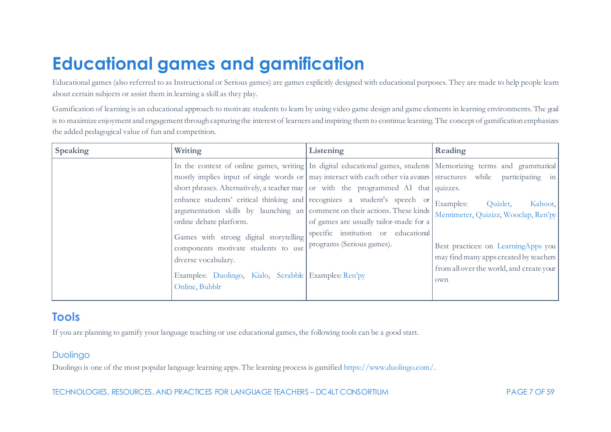# <span id="page-7-0"></span>**Educational games and gamification**

Educational games (also referred to as Instructional or Serious games) are games explicitly designed with educational purposes. They are made to help people learn about certain subjects or assist them in learning a skill as they play.

Gamification of learning is an educational approach to motivate students to learn by using video game design and game elements in learning environments. The goal is to maximize enjoyment and engagement through capturing the interest of learners and inspiring them to continue learning. The concept of gamification emphasizes the added pedagogical value of fun and competition.

| <b>Speaking</b> | Writing                                                                                                                                                                                                                                                                                                                                                                                                                                                                                                                                                                                                                                                                                             | Listening                                                                                                  | Reading                                                                                                                                                                                                      |
|-----------------|-----------------------------------------------------------------------------------------------------------------------------------------------------------------------------------------------------------------------------------------------------------------------------------------------------------------------------------------------------------------------------------------------------------------------------------------------------------------------------------------------------------------------------------------------------------------------------------------------------------------------------------------------------------------------------------------------------|------------------------------------------------------------------------------------------------------------|--------------------------------------------------------------------------------------------------------------------------------------------------------------------------------------------------------------|
|                 | In the context of online games, writing In digital educational games, students Memorizing terms and grammatical<br>mostly implies input of single words or may interact with each other via avatars structures while participating in<br>short phrases. Alternatively, a teacher may or with the programmed AI that quizzes.<br>enhance students' critical thinking and recognizes a student's speech or<br>argumentation skills by launching an comment on their actions. These kinds<br>online debate platform.<br>Games with strong digital storytelling<br>components motivate students to use<br>diverse vocabulary.<br>Examples: Duolingo, Kialo, Scrabble Examples: Ren'py<br>Online, Bubblr | of games are usually tailor-made for a<br>specific institution or educational<br>programs (Serious games). | Examples:<br>Quizlet,<br>Kahoot,<br>Mentimeter, Quizizz, Wooclap, Ren'py<br>Best practices: on LearningApps you<br>may find many apps created by teachers<br>from all over the world, and create your<br>own |

## **Tools**

If you are planning to gamify your language teaching or use educational games, the following tools can be a good start.

## Duolingo

Duolingo is one of the most popular language learning apps. The learning process is gamifie[d https://www.duolingo.com/.](https://www.duolingo.com/)

TECHNOLOGIES, RESOURCES, AND PRACTICES FOR LANGUAGE TEACHERS – DC4LT CONSORTIUM PAGE 7 OF 59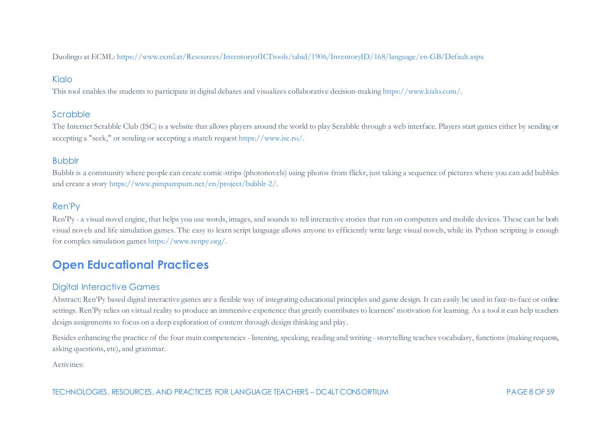Duolingo at ECML[: https://www.ecml.at/Resources/InventoryofICTtools/tabid/1906/InventoryID/168/language/en-GB/Default.aspx](https://www.ecml.at/Resources/InventoryofICTtools/tabid/1906/InventoryID/168/language/en-GB/Default.aspx)

### Kialo

This tool enables the students to participate in digital debates and visualizes collaborative decision-makin[g https://www.kialo.com/.](https://www.kialo.com/)

### Scrabble

The Internet Scrabble Club (ISC) is a website that allows players around the world to play Scrabble through a web interface. Players start games either by sending or accepting a "seek," or sending or accepting a match reques[t https://www.isc.ro/.](https://www.isc.ro/)

#### Bubblr

Bubblr is a community where people can create comic-strips (photonovels) using photos from flickr, just taking a sequence of pictures where you can add bubbles and create a stor[y https://www.pimpampum.net/en/project/bubblr-2/](https://www.pimpampum.net/en/project/bubblr-2/).

## Ren'Py

Ren'Py - a visual novel engine, that helps you use words, images, and sounds to tell interactive stories that run on computers and mobile devices. These can be both visual novels and life simulation games. The easy to learn script language allows anyone to efficiently write large visual novels, while its Python scripting is enough for complex simulation game[s https://www.renpy.org/.](https://www.renpy.org/)

# **Open Educational Practices**

#### Digital Interactive Games

Abstract: Ren'Py based digital interactive games are a flexible way of integrating educational principles and game design. It can easily be used in face-to-face or online settings. Ren'Py relies on virtual reality to produce an immersive experience that greatly contributes to learners' motivation for learning. As a tool it can help teachers design assignments to focus on a deep exploration of content through design thinking and play.

Besides enhancing the practice of the four main competencies - listening, speaking, reading and writing - storytelling teaches vocabulary, functions (making requests, asking questions, etc), and grammar.

Activities: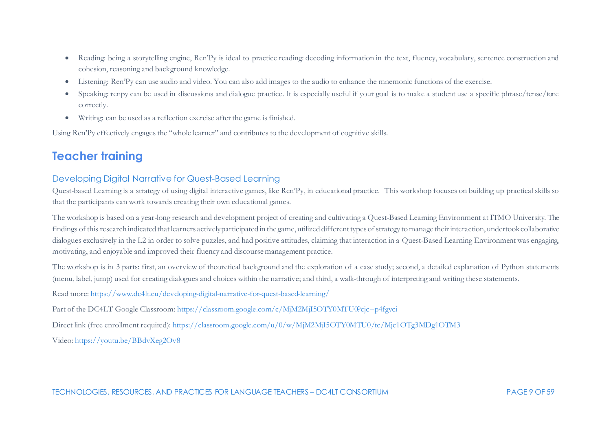- Reading: being a storytelling engine, Ren'Py is ideal to practice reading: decoding information in the text, fluency, vocabulary, sentence construction and cohesion, reasoning and background knowledge.
- Listening: Ren'Py can use audio and video. You can also add images to the audio to enhance the mnemonic functions of the exercise.
- Speaking: renpy can be used in discussions and dialogue practice. It is especially useful if your goal is to make a student use a specific phrase/tense/tone correctly.
- Writing: can be used as a reflection exercise after the game is finished.

Using Ren'Py effectively engages the "whole learner" and contributes to the development of cognitive skills.

# **Teacher training**

## Developing Digital Narrative for Quest-Based Learning

Quest-based Learning is a strategy of using digital interactive games, like Ren'Py, in educational practice. This workshop focuses on building up practical skills so that the participants can work towards creating their own educational games.

The workshop is based on a year-long research and development project of creating and cultivating a Quest-Based Learning Environment at ITMO University. The findings of this research indicated that learners actively participated in the game, utilized different types of strategy to manage their interaction, undertook collaborative dialogues exclusively in the L2 in order to solve puzzles, and had positive attitudes, claiming that interaction in a Quest-Based Learning Environment was engaging, motivating, and enjoyable and improved their fluency and discourse management practice.

The workshop is in 3 parts: first, an overview of theoretical background and the exploration of a case study; second, a detailed explanation of Python statements (menu, label, jump) used for creating dialogues and choices within the narrative; and third, a walk-through of interpreting and writing these statements.

Read more[: https://www.dc4lt.eu/developing-digital-narrative-for-quest-based-learning/](https://www.dc4lt.eu/developing-digital-narrative-for-quest-based-learning/)

Part of the DC4LT Google Classroom[: https://classroom.google.com/c/MjM2MjI5OTY0MTU0?cjc=p4fgvci](https://classroom.google.com/c/MjM2MjI5OTY0MTU0?cjc=p4fgvci)

Direct link (free enrollment required)[: https://classroom.google.com/u/0/w/MjM2MjI5OTY0MTU0/tc/Mjc1OTg3MDg1OTM3](https://classroom.google.com/u/0/w/MjM2MjI5OTY0MTU0/tc/Mjc1OTg3MDg1OTM3)

Video:<https://youtu.be/BBdvXeg2Ov8>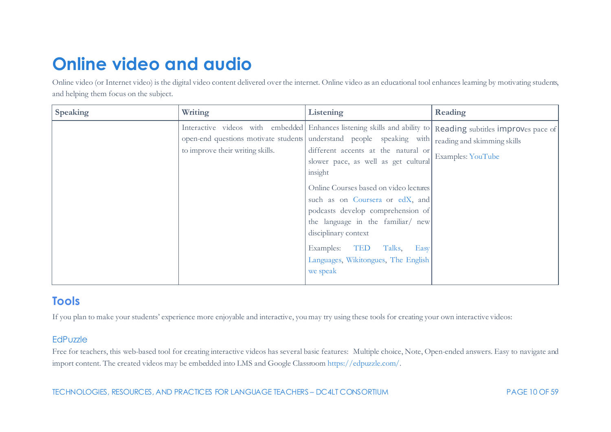# <span id="page-10-0"></span>**Online video and audio**

Online video (or Internet video) is the digital video content delivered over the internet. Online video as an educational tool enhances learning by motivating students, and helping them focus on the subject.

| <b>Speaking</b> | Writing                          | Listening                                                                                                                                                                                                                                                                                                                                                                                                                                                                                                                                                                          | Reading           |
|-----------------|----------------------------------|------------------------------------------------------------------------------------------------------------------------------------------------------------------------------------------------------------------------------------------------------------------------------------------------------------------------------------------------------------------------------------------------------------------------------------------------------------------------------------------------------------------------------------------------------------------------------------|-------------------|
|                 | to improve their writing skills. | Interactive videos with embedded Enhances listening skills and ability to Reading subtitles improves pace of<br>open-end questions motivate students understand people speaking with reading and skimming skills<br>different accents at the natural or<br>slower pace, as well as get cultural<br>insight<br>Online Courses based on video lectures<br>such as on Coursera or edX, and<br>podcasts develop comprehension of<br>the language in the familiar/ new<br>disciplinary context<br>Examples:<br>TED<br>Talks.<br>Easy<br>Languages, Wikitongues, The English<br>we speak | Examples: YouTube |

## **Tools**

If you plan to make your students' experience more enjoyable and interactive, you may try using these tools for creating your own interactive videos:

### **EdPuzzle**

Free for teachers, this web-based tool for creating interactive videos has several basic features: Multiple choice, Note, Open-ended answers. Easy to navigate and import content. The created videos may be embedded into LMS and Google Classroo[m https://edpuzzle.com/.](https://edpuzzle.com/)

TECHNOLOGIES, RESOURCES, AND PRACTICES FOR LANGUAGE TEACHERS – DC4LT CONSORTIUM PAGE 10 OF 59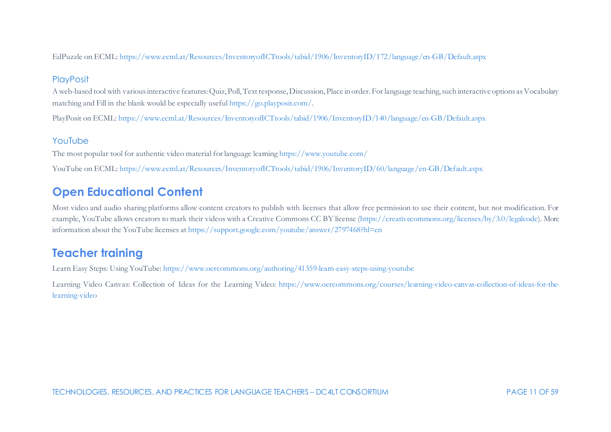EdPuzzle on ECML[: https://www.ecml.at/Resources/InventoryofICTtools/tabid/1906/InventoryID/172/language/en-GB/Default.aspx](https://www.ecml.at/Resources/InventoryofICTtools/tabid/1906/InventoryID/172/language/en-GB/Default.aspx)

## **PlayPosit**

A web-based tool with various interactive features: Quiz, Poll, Text response, Discussion, Place in order. For language teaching, such interactive options as Vocabulary matching and Fill in the blank would be especially usefu[l https://go.playposit.com/.](https://go.playposit.com/)

PlayPosit on ECML:<https://www.ecml.at/Resources/InventoryofICTtools/tabid/1906/InventoryID/140/language/en-GB/Default.aspx>

## YouTube

The most popular tool for authentic video material for language learnin[g https://www.youtube.com/](https://www.youtube.com/)

YouTube on ECML[: https://www.ecml.at/Resources/InventoryofICTtools/tabid/1906/InventoryID/60/language/en-GB/Default.aspx](https://www.ecml.at/Resources/InventoryofICTtools/tabid/1906/InventoryID/60/language/en-GB/Default.aspx)

# **Open Educational Content**

Most video and audio sharing platforms allow content creators to publish with licenses that allow free permission to use their content, but not modification. For example, YouTube allows creators to mark their videos with a Creative Commons CC BY license [\(https://creativecommons.org/licenses/by/3.0/legalcode\)](https://creativecommons.org/licenses/by/3.0/legalcode). More information about the YouTube licenses a[t https://support.google.com/youtube/answer/2797468?hl=en](https://support.google.com/youtube/answer/2797468?hl=en)

# **Teacher training**

Learn Easy Steps: Using YouTube[: https://www.oercommons.org/authoring/41359-learn-easy-steps-using-youtube](https://www.oercommons.org/authoring/41359-learn-easy-steps-using-youtube)

Learning Video Canvas: Collection of Ideas for the Learning Video: [https://www.oercommons.org/courses/learning-video-canvas-collection-of-ideas-for-the](https://www.oercommons.org/courses/learning-video-canvas-collection-of-ideas-for-the-learning-video)[learning-video](https://www.oercommons.org/courses/learning-video-canvas-collection-of-ideas-for-the-learning-video)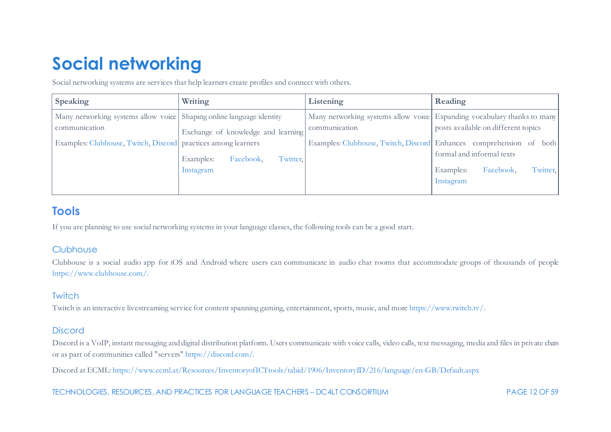# <span id="page-12-0"></span>**Social networking**

Social networking systems are services that help learners create profiles and connect with others.

| <b>Speaking</b>                                                      | Writing                            | Listening     | Reading                                                                 |
|----------------------------------------------------------------------|------------------------------------|---------------|-------------------------------------------------------------------------|
| Many networking systems allow voice Shaping online language identity |                                    |               | Many networking systems allow voice Expanding vocabulary thanks to many |
| communication                                                        | Exchange of knowledge and learning | communication | posts available on different topics                                     |
| Examples: Clubhouse, Twitch, Discord practices among learners        |                                    |               | Examples: Clubhouse, Twitch, Discord Enhances comprehension of both     |
|                                                                      | Facebook,<br>Twitter,<br>Examples: |               | formal and informal texts                                               |
|                                                                      | Instagram                          |               | Twitter,<br>Facebook,<br>Examples:                                      |
|                                                                      |                                    |               | Instagram                                                               |
|                                                                      |                                    |               |                                                                         |

## **Tools**

If you are planning to use social networking systems in your language classes, the following tools can be a good start.

## **Clubhouse**

Clubhouse is a social audio app for iOS and Android where users can communicate in audio chat rooms that accommodate groups of thousands of people [https://www.clubhouse.com/.](https://www.clubhouse.com/)

## **Twitch**

Twitch is an interactive livestreaming service for content spanning gaming, entertainment, sports, music, and mor[e https://www.twitch.tv/](https://www.twitch.tv/).

## **Discord**

Discord is a VoIP, instant messaging and digital distribution platform. Users communicate with voice calls, video calls, text messaging, media and files in private chats or as part of communities called "servers[" https://discord.com/.](https://discord.com/)

Discord at ECML: <https://www.ecml.at/Resources/InventoryofICTtools/tabid/1906/InventoryID/216/language/en-GB/Default.aspx>

TECHNOLOGIES, RESOURCES, AND PRACTICES FOR LANGUAGE TEACHERS – DC4LT CONSORTIUM PAGE 12 OF 59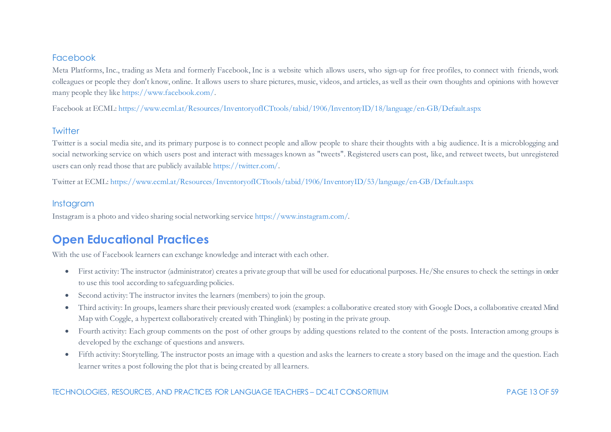#### Facebook

Meta Platforms, Inc., trading as Meta and formerly Facebook, Inc is a website which allows users, who sign-up for free profiles, to connect with friends, work colleagues or people they don't know, online. It allows users to share pictures, music, videos, and articles, as well as their own thoughts and opinions with however many people they lik[e https://www.facebook.com/](https://www.facebook.com/).

Facebook at ECML[: https://www.ecml.at/Resources/InventoryofICTtools/tabid/1906/InventoryID/18/language/en-GB/Default.aspx](https://www.ecml.at/Resources/InventoryofICTtools/tabid/1906/InventoryID/18/language/en-GB/Default.aspx)

#### **Twitter**

Twitter is a social media site, and its primary purpose is to connect people and allow people to share their thoughts with a big audience. It is a microblogging and social networking service on which users post and interact with messages known as "tweets". Registered users can post, like, and retweet tweets, but unregistered users can only read those that are publicly availabl[e https://twitter.com/](https://twitter.com/home?lang=en).

Twitter at ECML[: https://www.ecml.at/Resources/InventoryofICTtools/tabid/1906/InventoryID/53/language/en-GB/Default.aspx](https://www.ecml.at/Resources/InventoryofICTtools/tabid/1906/InventoryID/53/language/en-GB/Default.aspx)

#### Instagram

Instagram is a photo and video sharing social networking servic[e https://www.instagram.com/](https://www.instagram.com/).

## **Open Educational Practices**

With the use of Facebook learners can exchange knowledge and interact with each other.

- First activity: The instructor (administrator) creates a private group that will be used for educational purposes. He/She ensures to check the settings in order to use this tool according to safeguarding policies.
- Second activity: The instructor invites the learners (members) to join the group.
- Third activity: In groups, learners share their previously created work (examples: a collaborative created story with Google Docs, a collaborative created Mind Map with Coggle, a hypertext collaboratively created with Thinglink) by posting in the private group.
- Fourth activity: Each group comments on the post of other groups by adding questions related to the content of the posts. Interaction among groups is developed by the exchange of questions and answers.
- Fifth activity: Storytelling. The instructor posts an image with a question and asks the learners to create a story based on the image and the question. Each learner writes a post following the plot that is being created by all learners.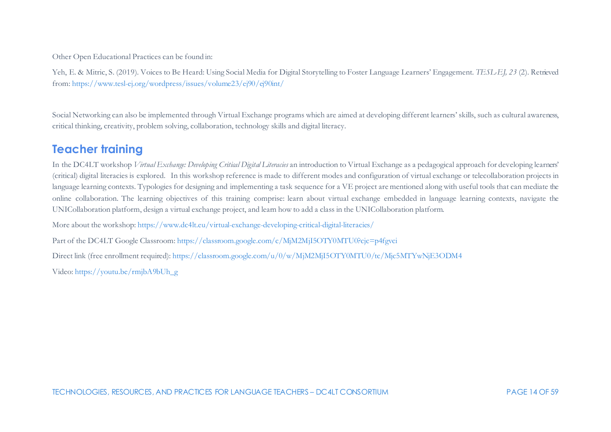Other Open Educational Practices can be found in:

Yeh, E. & Mitric, S. (2019). Voices to Be Heard: Using Social Media for Digital Storytelling to Foster Language Learners' Engagement. *TESL-EJ, 23* (2). Retrieved from[: https://www.tesl-ej.org/wordpress/issues/volume23/ej90/ej90int/](https://www.tesl-ej.org/wordpress/issues/volume23/ej90/ej90int/)

Social Networking can also be implemented through Virtual Exchange programs which are aimed at developing different learners' skills, such as cultural awareness, critical thinking, creativity, problem solving, collaboration, technology skills and digital literacy.

## **Teacher training**

In the DC4LT workshop *Virtual Exchange: Developing Critical Digital Literacies* an introduction to Virtual Exchange as a pedagogical approach for developing learners' (critical) digital literacies is explored. In this workshop reference is made to different modes and configuration of virtual exchange or telecollaboration projects in language learning contexts. Typologies for designing and implementing a task sequence for a VE project are mentioned along with useful tools that can mediate the online collaboration. The learning objectives of this training comprise: learn about virtual exchange embedded in language learning contexts, navigate the UNICollaboration platform, design a virtual exchange project, and learn how to add a class in the UNICollaboration platform.

More about the workshop[: https://www.dc4lt.eu/virtual-exchange-developing-critical-digital-literacies/](https://www.dc4lt.eu/virtual-exchange-developing-critical-digital-literacies/)

Part of the DC4LT Google Classroom[: https://classroom.google.com/c/MjM2MjI5OTY0MTU0?cjc=p4fgvci](https://classroom.google.com/c/MjM2MjI5OTY0MTU0?cjc=p4fgvci)

Direct link (free enrollment required)[: https://classroom.google.com/u/0/w/MjM2MjI5OTY0MTU0/tc/Mjc5MTYwNjE3ODM4](https://classroom.google.com/u/0/w/MjM2MjI5OTY0MTU0/tc/Mjc5MTYwNjE3ODM4)

Video: [https://youtu.be/rmjbA9bUh\\_g](https://youtu.be/rmjbA9bUh_g)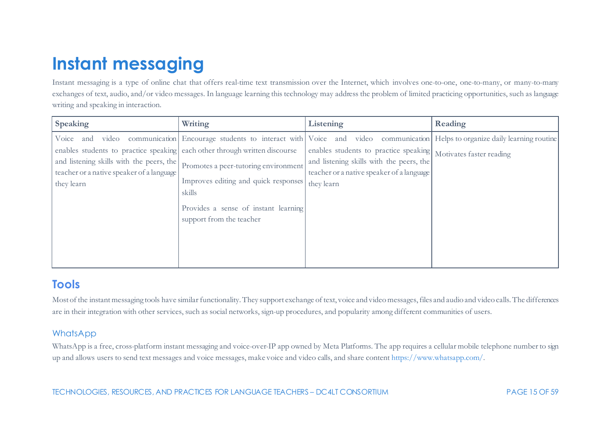# <span id="page-15-0"></span>**Instant messaging**

Instant messaging is a type of online chat that offers real-time text transmission over the Internet, which involves one-to-one, one-to-many, or many-to-many exchanges of text, audio, and/or video messages. In language learning this technology may address the problem of limited practicing opportunities, such as language writing and speaking in interaction.

| Voice and video communication Encourage students to interact with Voice and video communication Helps to organize daily learning routine<br>enables students to practice speaking each other through written discourse<br>enables students to practice speaking Motivates faster reading<br>and listening skills with the peers, the<br>and listening skills with the peers, the<br>Promotes a peer-tutoring environment<br>teacher or a native speaker of a language<br>teacher or a native speaker of a language | <b>Speaking</b> | Writing                              | Listening  | Reading |
|--------------------------------------------------------------------------------------------------------------------------------------------------------------------------------------------------------------------------------------------------------------------------------------------------------------------------------------------------------------------------------------------------------------------------------------------------------------------------------------------------------------------|-----------------|--------------------------------------|------------|---------|
| skills<br>Provides a sense of instant learning<br>support from the teacher                                                                                                                                                                                                                                                                                                                                                                                                                                         | they learn      | Improves editing and quick responses | they learn |         |

# **Tools**

Most of the instant messaging tools have similar functionality. They support exchange of text, voice and video messages, files and audio and video calls. The differences are in their integration with other services, such as social networks, sign-up procedures, and popularity among different communities of users.

#### WhatsApp

WhatsApp is a free, cross-platform instant messaging and voice-over-IP app owned by Meta Platforms. The app requires a cellular mobile telephone number to sign up and allows users to send text messages and voice messages, make voice and video calls, and share conten[t https://www.whatsapp.com/.](https://www.whatsapp.com/)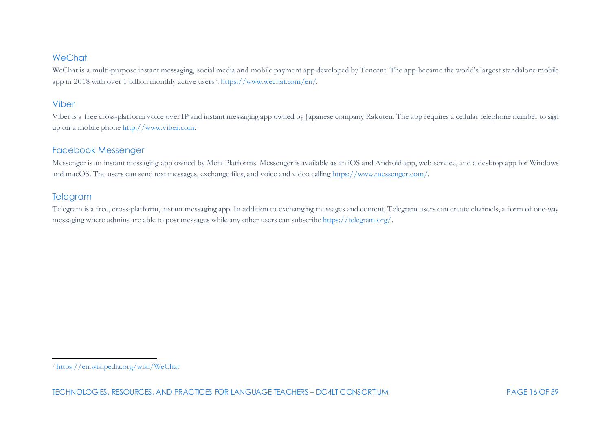#### <span id="page-16-0"></span>**WeChat**

WeChat is a multi-purpose instant messaging, social media and mobile payment app developed by Tencent. The app became the world's largest standalone mobile app in 2018 with over 1 billion monthly active users[7](#page-16-0)[. https://www.wechat.com/en/](https://www.wechat.com/en/).

#### Viber

Viber is a free cross-platform voice over IP and instant messaging app owned by Japanese company Rakuten. The app requires a cellular telephone number to sign up on a mobile phone [http://www.viber.com.](http://www.viber.com/)

#### Facebook Messenger

Messenger is an instant messaging app owned by Meta Platforms. Messenger is available as an iOS and Android app, web service, and a desktop app for Windows and macOS. The users can send text messages, exchange files, and voice and video callin[g https://www.messenger.com/.](https://www.messenger.com/)

#### Telegram

Telegram is a free, cross-platform, instant messaging app. In addition to exchanging messages and content, Telegram users can create channels, a form of one-way messaging where admins are able to post messages while any other users can subscrib[e https://telegram.org/](https://telegram.org/).

<sup>7</sup> <https://en.wikipedia.org/wiki/WeChat>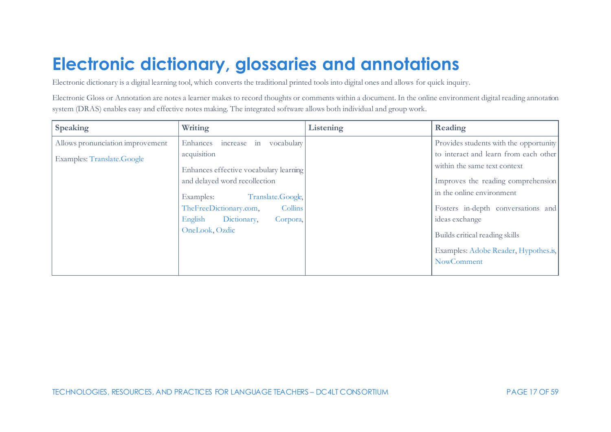# <span id="page-17-0"></span>**Electronic dictionary, glossaries and annotations**

Electronic dictionary is a digital learning tool, which converts the traditional printed tools into digital ones and allows for quick inquiry.

Electronic Gloss or Annotation are notes a learner makes to record thoughts or comments within a document. In the online environment digital reading annotation system (DRAS) enables easy and effective notes making. The integrated software allows both individual and group work.

| Speaking                         | Writing                                                                 | Listening | Reading                                                               |
|----------------------------------|-------------------------------------------------------------------------|-----------|-----------------------------------------------------------------------|
| Allows pronunciation improvement | increase in vocabulary<br>Enhances                                      |           | Provides students with the opportunity                                |
| Examples: Translate.Google       | acquisition                                                             |           | to interact and learn from each other<br>within the same text context |
|                                  | Enhances effective vocabulary learning<br>and delayed word recollection |           | Improves the reading comprehension                                    |
|                                  | Translate.Google,<br>Examples:                                          |           | in the online environment                                             |
|                                  | TheFreeDictionary.com,<br>Collins                                       |           | Fosters in-depth conversations and                                    |
|                                  | English<br>Dictionary,<br>Corpora,                                      |           | ideas exchange                                                        |
|                                  | OneLook, Ozdic                                                          |           | Builds critical reading skills                                        |
|                                  |                                                                         |           | Examples: Adobe Reader, Hypothes.is,                                  |
|                                  |                                                                         |           | NowComment                                                            |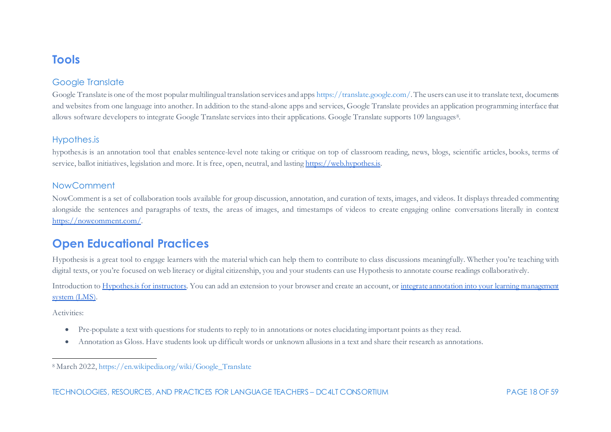## <span id="page-18-0"></span>**Tools**

### Google Translate

Google Translate is one of the most popular multilingual translation services and app[s https://translate.google.com/.](https://translate.google.com/) The users can use it to translate text, documents and websites from one language into another. In addition to the stand-alone apps and services, Google Translate provides an application programming interface that allows software developers to integrate Google Translate services into their applications. Google Translate supports 109 languages<sup>[8](#page-18-0)</sup>.

#### Hypothes.is

hypothes.is is an annotation tool that enables sentence-level note taking or critique on top of classroom reading, news, blogs, scientific articles, books, terms of service, ballot initiatives, legislation and more. It i[s free,](http://www.gnu.org/philosophy/free-sw.html) open, neutral, and lastin[g https://web.hypothes.is.](https://web.hypothes.is/)

#### NowComment

NowComment is a set of collaboration tools available for group discussion, annotation, and curation of texts, images, and videos. It displays threaded commenting alongside the sentences and paragraphs of texts, the areas of images, and timestamps of videos to create engaging online conversations literally in context [https://nowcomment.com/.](https://nowcomment.com/)

## **Open Educational Practices**

Hypothesis is a great tool to engage learners with the material which can help them to contribute to class discussions meaningfully. Whether you're teaching with digital texts, or you're focused on web literacy or digital citizenship, you and your students can use Hypothesis to annotate course readings collaboratively.

Introduction t[o Hypothes.is for instructors.](https://web.hypothes.is/quick-start-guide/) You can add an extension to your browser and create an account, o[r integrate annotation into your learning management](https://web.hypothes.is/education/lms/)  [system \(LMS\).](https://web.hypothes.is/education/lms/)

Activities:

- Pre-populate a text with questions for students to reply to in annotations or notes elucidating important points as they read.
- Annotation as Gloss. Have students look up difficult words or unknown allusions in a text and share their research as annotations.

<sup>8</sup> March 2022[, https://en.wikipedia.org/wiki/Google\\_Translate](https://en.wikipedia.org/wiki/Google_Translate)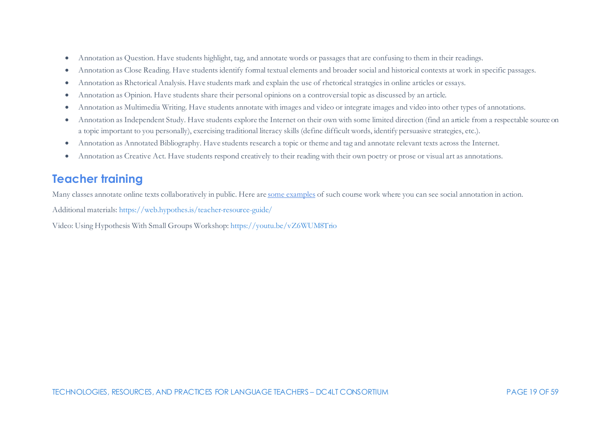- Annotation as Question. Have students highlight, tag, and annotate words or passages that are confusing to them in their readings.
- Annotation as Close Reading. Have students identify formal textual elements and broader social and historical contexts at work in specific passages.
- Annotation as Rhetorical Analysis. Have students mark and explain the use of rhetorical strategies in online articles or essays.
- Annotation as Opinion. Have students share their personal opinions on a controversial topic as discussed by an article.
- Annotation as Multimedia Writing. Have students annotate with images and video or integrate images and video into other types of annotations.
- Annotation as Independent Study. Have students explore the Internet on their own with some limited direction (find an article from a respectable source on a topic important to you personally), exercising traditional literacy skills (define difficult words, identify persuasive strategies, etc.).
- Annotation as Annotated Bibliography. Have students research a topic or theme and tag and annotate relevant texts across the Internet.
- Annotation as Creative Act. Have students respond creatively to their reading with their own poetry or prose or visual art as annotations.

# **Teacher training**

Many classes annotate online texts collaboratively in public. Here ar[e some examples](https://web.hypothes.is/education/examples-of-classroom-use/) of such course work where you can see social annotation in action.

Additional materials[: https://web.hypothes.is/teacher-resource-guide/](https://web.hypothes.is/teacher-resource-guide/)

Video: Using Hypothesis With Small Groups Workshop[: https://youtu.be/vZ6WUM8Trio](https://youtu.be/vZ6WUM8Trio)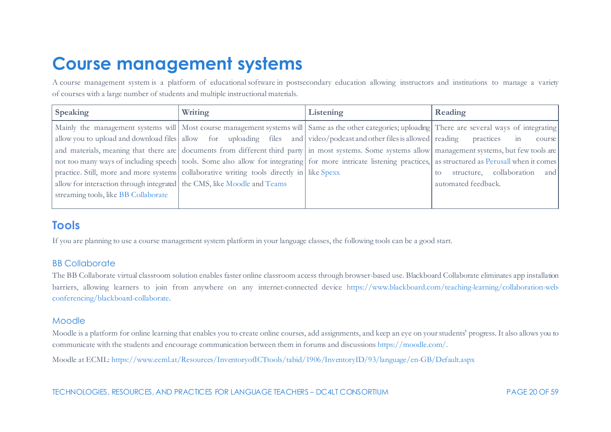# <span id="page-20-0"></span>**Course management systems**

A course management system is a platform of educational software in postsecondary education allowing instructors and institutions to manage a variety of courses with a large number of students and multiple instructional materials.

| Speaking                                                                | Writing                                                                                   | Listening                                                                                                                                            | Reading                                                                                                                                                      |
|-------------------------------------------------------------------------|-------------------------------------------------------------------------------------------|------------------------------------------------------------------------------------------------------------------------------------------------------|--------------------------------------------------------------------------------------------------------------------------------------------------------------|
|                                                                         |                                                                                           |                                                                                                                                                      | Mainly the management systems will Most course management systems will Same as the other categories; uploading There are several ways of integrating         |
|                                                                         |                                                                                           | allow you to upload and download files allow for uploading files and video/podcast and other files is allowed reading practices in                   | course                                                                                                                                                       |
|                                                                         |                                                                                           | and materials, meaning that there are documents from different third party in most systems. Some systems allow management systems, but few tools are |                                                                                                                                                              |
|                                                                         |                                                                                           |                                                                                                                                                      | not too many ways of including speech tools. Some also allow for integrating for more intricate listening practices, as structured as Perusall when it comes |
|                                                                         | practice. Still, more and more systems collaborative writing tools directly in like Spexx |                                                                                                                                                      | structure, collaboration and<br>to:                                                                                                                          |
| allow for interaction through integrated the CMS, like Moodle and Teams |                                                                                           |                                                                                                                                                      | automated feedback.                                                                                                                                          |
| streaming tools, like BB Collaborate                                    |                                                                                           |                                                                                                                                                      |                                                                                                                                                              |
|                                                                         |                                                                                           |                                                                                                                                                      |                                                                                                                                                              |

# **Tools**

If you are planning to use a course management system platform in your language classes, the following tools can be a good start.

## BB Collaborate

The BB Collaborate virtual classroom solution enables faster online classroom access through browser-based use. Blackboard Collaborate eliminates app installation barriers, allowing learners to join from anywhere on any internet-connected device [https://www.blackboard.com/teaching-learning/collaboration-web](https://www.blackboard.com/teaching-learning/collaboration-web-conferencing/blackboard-collaborate)[conferencing/blackboard-collaborate.](https://www.blackboard.com/teaching-learning/collaboration-web-conferencing/blackboard-collaborate)

### Moodle

Moodle is a platform for online learning that enables you to create online courses, add assignments, and keep an eye on your students' progress. It also allows you to communicate with the students and encourage communication between them in forums and discussion[s https://moodle.com/](https://moodle.com/).

Moodle at ECML[: https://www.ecml.at/Resources/InventoryofICTtools/tabid/1906/InventoryID/93/language/en-GB/Default.aspx](https://www.ecml.at/Resources/InventoryofICTtools/tabid/1906/InventoryID/93/language/en-GB/Default.aspx)

TECHNOLOGIES, RESOURCES, AND PRACTICES FOR LANGUAGE TEACHERS – DC4LT CONSORTIUM PAGE 20 OF 59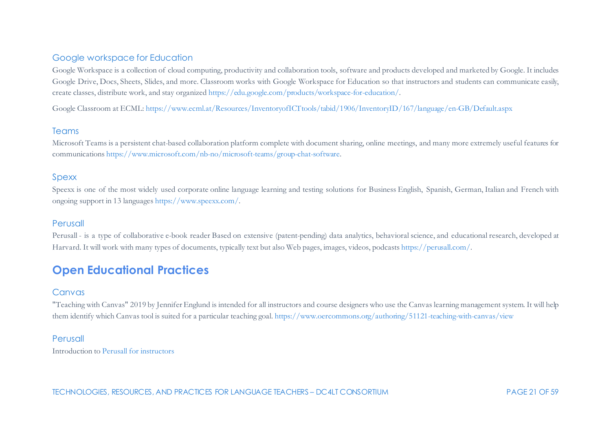#### Google workspace for Education

Google Workspace is a collection of cloud computing, productivity and collaboration tools, software and products developed and marketed by Google. It includes Google Drive, Docs, Sheets, Slides, and more. Classroom works with Google Workspace for Education so that instructors and students can communicate easily, create classes, distribute work, and stay organize[d https://edu.google.com/products/workspace-for-education/](https://edu.google.com/products/workspace-for-education/).

Google Classroom at ECML[: https://www.ecml.at/Resources/InventoryofICTtools/tabid/1906/InventoryID/167/language/en-GB/Default.aspx](https://www.ecml.at/Resources/InventoryofICTtools/tabid/1906/InventoryID/167/language/en-GB/Default.aspx)

#### Teams

Microsoft Teams is a persistent chat-based collaboration platform complete with document sharing, online meetings, and many more extremely useful features for communication[s https://www.microsoft.com/nb-no/microsoft-teams/group-chat-software](https://www.microsoft.com/nb-no/microsoft-teams/group-chat-software).

#### Spexx

Speexx is one of the most widely used corporate online language learning and testing solutions for Business English, Spanish, German, Italian and French with ongoing support in 13 language[s https://www.speexx.com/.](https://www.speexx.com/)

#### Perusall

Perusall - is a type of collaborative e-book reader Based on extensive (patent-pending) data analytics, behavioral science, and educational research, developed at Harvard. It will work with many types of documents, typically text but also Web pages, images, videos, podcast[s https://perusall.com/](https://perusall.com/about).

## **Open Educational Practices**

#### Canvas

"Teaching with Canvas" 2019 by Jennifer Englund is intended for all instructors and course designers who use the Canvas learning management system. It will help them identify which Canvas tool is suited for a particular teaching goal[. https://www.oercommons.org/authoring/51121-teaching-with-canvas/view](https://www.oercommons.org/authoring/51121-teaching-with-canvas/view)

#### Perusall

Introduction t[o Perusall for instructors](https://www.youtube.com/watch?v=_PfAc0D2erk&t=1s)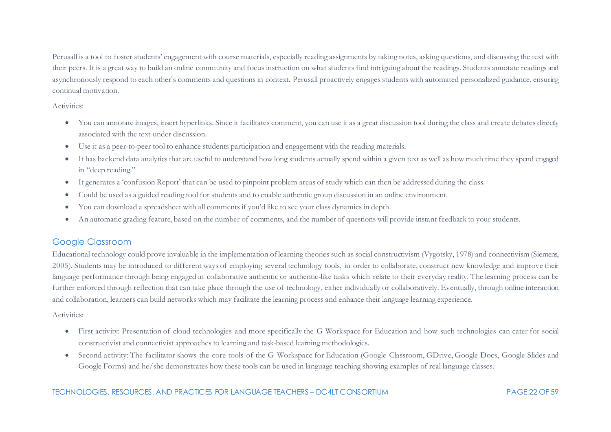Perusall is a tool to foster students' engagement with course materials, especially reading assignments by taking notes, asking questions, and discussing the text with their peers. It is a great way to build an online community and focus instruction on what students find intriguing about the readings. Students annotate readings and asynchronously respond to each other's comments and questions in context. Perusall proactively engages students with automated personalized guidance, ensuring continual motivation.

Activities:

- You can annotate images, insert hyperlinks. Since it facilitates comment, you can use it as a great discussion tool during the class and create debates directly associated with the text under discussion.
- Use it as a peer-to-peer tool to enhance students participation and engagement with the reading materials.
- It has backend data analytics that are useful to understand how long students actually spend within a given text as well as how much time they spend engaged in "deep reading."
- It generates a 'confusion Report' that can be used to pinpoint problem areas of study which can then be addressed during the class.
- Could be used as a guided reading tool for students and to enable authentic group discussion in an online environment.
- You can download a spreadsheet with all comments if you'd like to see your class dynamics in depth.
- An automatic grading feature, based on the number of comments, and the number of questions will provide instant feedback to your students.

## Google Classroom

Educational technology could prove invaluable in the implementation of learning theories such as social constructivism (Vygotsky, 1978) and connectivism (Siemens, 2005). Students may be introduced to different ways of employing several technology tools, in order to collaborate, construct new knowledge and improve their language performance through being engaged in collaborative authentic or authentic-like tasks which relate to their everyday reality. The learning process can be further enforced through reflection that can take place through the use of technology, either individually or collaboratively. Eventually, through online interaction and collaboration, learners can build networks which may facilitate the learning process and enhance their language learning experience.

#### Activities:

- First activity: Presentation of cloud technologies and more specifically the G Workspace for Education and how such technologies can cater for social constructivist and connectivist approaches to learning and task-based learning methodologies.
- Second activity: The facilitator shows the core tools of the G Workspace for Education (Google Classroom, GDrive, Google Docs, Google Slides and Google Forms) and he/she demonstrates how these tools can be used in language teaching showing examples of real language classes.

#### TECHNOLOGIES, RESOURCES, AND PRACTICES FOR LANGUAGE TEACHERS – DC4LT CONSORTIUM PAGE 22 OF 59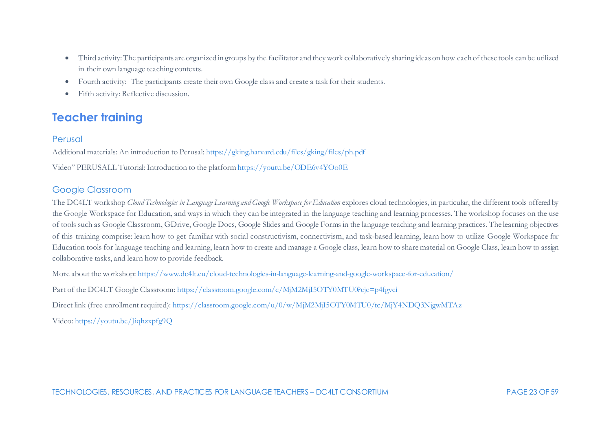- Third activity: The participants are organized in groups by the facilitator and they work collaboratively sharing ideas on how each of these tools can be utilized in their own language teaching contexts.
- Fourth activity: The participants create their own Google class and create a task for their students.
- Fifth activity: Reflective discussion.

# **Teacher training**

### Perusal

Additional materials: An introduction to Perusal[: https://gking.harvard.edu/files/gking/files/ph.pdf](https://gking.harvard.edu/files/gking/files/ph.pdf)

Video" PERUSALL Tutorial: Introduction to the platfor[m https://youtu.be/ODE6v4YOo0E](https://youtu.be/ODE6v4YOo0E)

## Google Classroom

The DC4LT workshop *Cloud Technologies in Language Learning and Google Workspace for Education* explores cloud technologies, in particular, the different tools offered by the Google Workspace for Education, and ways in which they can be integrated in the language teaching and learning processes. The workshop focuses on the use of tools such as Google Classroom, GDrive, Google Docs, Google Slides and Google Forms in the language teaching and learning practices. The learning objectives of this training comprise: learn how to get familiar with social constructivism, connectivism, and task-based learning, learn how to utilize Google Workspace for Education tools for language teaching and learning, learn how to create and manage a Google class, learn how to share material on Google Class, learn how to assign collaborative tasks, and learn how to provide feedback.

More about the workshop[: https://www.dc4lt.eu/cloud-technologies-in-language-learning-and-google-workspace-for-education/](https://www.dc4lt.eu/cloud-technologies-in-language-learning-and-google-workspace-for-education/)

Part of the DC4LT Google Classroom[: https://classroom.google.com/c/MjM2MjI5OTY0MTU0?cjc=p4fgvci](https://classroom.google.com/c/MjM2MjI5OTY0MTU0?cjc=p4fgvci)

Direct link (free enrollment required)[: https://classroom.google.com/u/0/w/MjM2MjI5OTY0MTU0/tc/MjY4NDQ3NjgwMTAz](https://classroom.google.com/u/0/w/MjM2MjI5OTY0MTU0/tc/MjY4NDQ3NjgwMTAz)

Video:<https://youtu.be/Jiqhzxpfg9Q>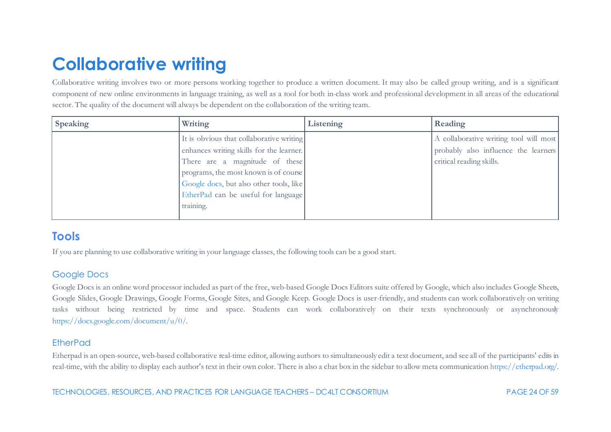# <span id="page-24-0"></span>**Collaborative writing**

Collaborative writing involves two or more persons working together to produce a written document. It may also be called group writing, and is a significant component of new online environments in language training, as well as a tool for both in-class work and professional development in all areas of the educational sector. The quality of the document will always be dependent on the collaboration of the writing team.

| <b>Speaking</b> | Writing                                                                                                                                                                                                                                                        | Listening | Reading                                                                                                    |
|-----------------|----------------------------------------------------------------------------------------------------------------------------------------------------------------------------------------------------------------------------------------------------------------|-----------|------------------------------------------------------------------------------------------------------------|
|                 | It is obvious that collaborative writing<br>enhances writing skills for the learner.<br>There are a magnitude of these<br>programs, the most known is of course<br>Google docs, but also other tools, like<br>EtherPad can be useful for language<br>training. |           | A collaborative writing tool will most<br>probably also influence the learners<br>critical reading skills. |

## **Tools**

If you are planning to use collaborative writing in your language classes, the following tools can be a good start.

## Google Docs

Google Docs is an online word processor included as part of the free, web-based Google Docs Editors suite offered by Google, which also includes Google Sheets, Google Slides, Google Drawings, Google Forms, Google Sites, and Google Keep. Google Docs is user-friendly, and students can work collaboratively on writing tasks without being restricted by time and space. Students can work collaboratively on their texts synchronously or asynchronously <https://docs.google.com/document/u/0/>.

## EtherPad

Etherpad is an open-source, web-based collaborative real-time editor, allowing authors to simultaneously edit a text document, and see all of the participants' edits in real-time, with the ability to display each author's text in their own color. There is also a chat box in the sidebar to allow meta communicatio[n https://etherpad.org/.](https://etherpad.org/) 

TECHNOLOGIES, RESOURCES, AND PRACTICES FOR LANGUAGE TEACHERS – DC4LT CONSORTIUM PAGE 24 OF 59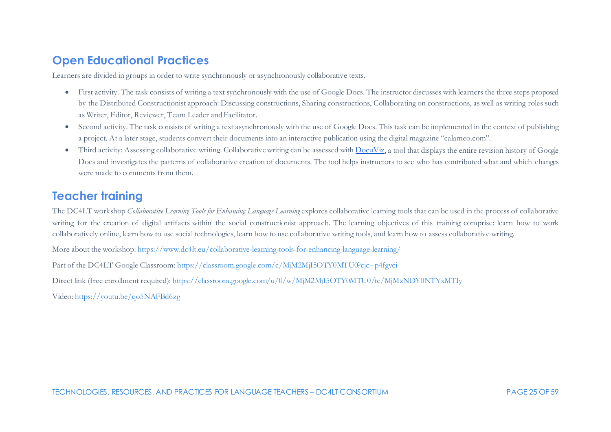## **Open Educational Practices**

Learners are divided in groups in order to write synchronously or asynchronously collaborative texts.

- First activity. The task consists of writing a text synchronously with the use of Google Docs. The instructor discusses with learners the three steps proposed by the Distributed Constructionist approach: Discussing constructions, Sharing constructions, Collaborating on constructions, as well as writing roles such as Writer, Editor, Reviewer, Team Leader and Facilitator.
- Second activity. The task consists of writing a text asynchronously with the use of Google Docs. This task can be implemented in the context of publishing a project. At a later stage, students convert their documents into an interactive publication using the digital magazine "calameo.com".
- Third activity: Assessing collaborative writing. Collaborative writing can be assessed with  $DocuViz$ , a tool that displays the entire revision history of Google Docs and investigates the patterns of collaborative creation of documents. The tool helps instructors to see who has contributed what and which changes were made to comments from them.

## **Teacher training**

The DC4LT workshop *Collaborative Learning Tools for Enhancing Language Learning* explores collaborative learning tools that can be used in the process of collaborative writing for the creation of digital artifacts within the social constructionist approach. The learning objectives of this training comprise: learn how to work collaboratively online, learn how to use social technologies, learn how to use collaborative writing tools, and learn how to assess collaborative writing.

More about the workshop[: https://www.dc4lt.eu/collaborative-learning-tools-for-enhancing-language-learning/](https://www.dc4lt.eu/collaborative-learning-tools-for-enhancing-language-learning/)

Part of the DC4LT Google Classroom[: https://classroom.google.com/c/MjM2MjI5OTY0MTU0?cjc=p4fgvci](https://classroom.google.com/c/MjM2MjI5OTY0MTU0?cjc=p4fgvci)

Direct link (free enrollment required)[: https://classroom.google.com/u/0/w/MjM2MjI5OTY0MTU0/tc/MjMzNDY0NTYxMTIy](https://classroom.google.com/u/0/w/MjM2MjI5OTY0MTU0/tc/MjMzNDY0NTYxMTIy)

Video:<https://youtu.be/qo5NAFBd6zg>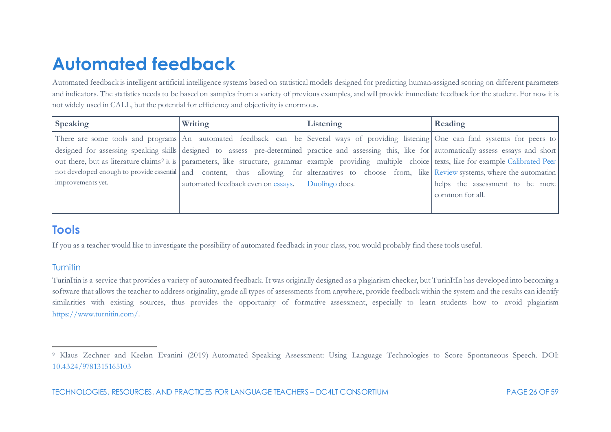# <span id="page-26-1"></span><span id="page-26-0"></span>**Automated feedback**

Automated feedback is intelligent artificial intelligence systems based on statistical models designed for predicting human-assigned scoring on different parameters and indicators. The statistics needs to be based on samples from a variety of previous examples, and will provide immediate feedback for the student. For now it is not widely used in CALL, but the potential for efficiency and objectivity is enormous.

| Speaking          | Writing                            | Listening                                                                                                                                                            | Reading                         |
|-------------------|------------------------------------|----------------------------------------------------------------------------------------------------------------------------------------------------------------------|---------------------------------|
|                   |                                    | There are some tools and programs An automated feedback can be Several ways of providing listening One can find systems for peers to                                 |                                 |
|                   |                                    | designed for assessing speaking skills designed to assess pre-determined practice and assessing this, like for automatically assess essays and short                 |                                 |
|                   |                                    | out there, but as literature claims <sup>9</sup> it is parameters, like structure, grammar example providing multiple choice texts, like for example Calibrated Peer |                                 |
|                   |                                    | not developed enough to provide essential and content, thus allowing for alternatives to choose from, like Review systems, where the automation                      |                                 |
| improvements yet. | automated feedback even on essays. | Duolingo does.                                                                                                                                                       | helps the assessment to be more |
|                   |                                    |                                                                                                                                                                      | common for all.                 |
|                   |                                    |                                                                                                                                                                      |                                 |

## **Tools**

If you as a teacher would like to investigate the possibility of automated feedback in your class, you would probably find these tools useful.

## **Turnitin**

TurinItin is a service that provides a variety of automated feedback. It was originally designed as a plagiarism checker, but TurinItIn has developed into becoming a software that allows the teacher to address originality, grade all types of assessments from anywhere, provide feedback within the system and the results can identify similarities with existing sources, thus provides the opportunity of formative assessment, especially to learn students how to avoid plagiarism [https://www.turnitin.com/.](https://www.turnitin.com/)

<sup>9</sup> Klaus Zechner and Keelan Evanini (2019) Automated Speaking Assessment: Using Language Technologies to Score Spontaneous Speech. DOI: [10.4324/9781315165103](https://doi.org/10.4324/9781315165103)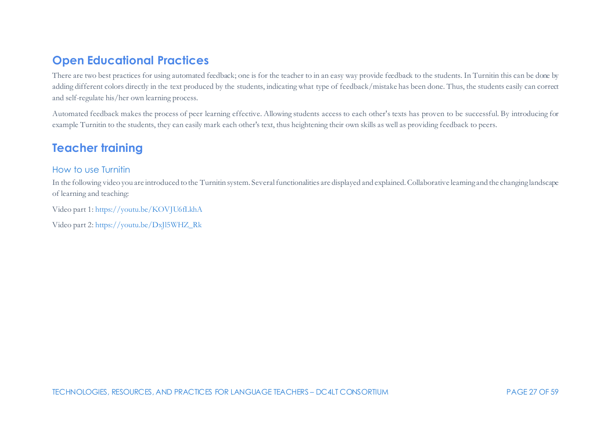# **Open Educational Practices**

There are two best practices for using automated feedback; one is for the teacher to in an easy way provide feedback to the students. In Turnitin this can be done by adding different colors directly in the text produced by the students, indicating what type of feedback/mistake has been done. Thus, the students easily can correct and self-regulate his/her own learning process.

Automated feedback makes the process of peer learning effective. Allowing students access to each other's texts has proven to be successful. By introducing for example Turnitin to the students, they can easily mark each other's text, thus heightening their own skills as well as providing feedback to peers.

## **Teacher training**

#### How to use Turnitin

In the following video you are introduced to the Turnitin system. Several functionalities are displayed and explained. Collaborative learning and the changing landscape of learning and teaching:

Video part 1[: https://youtu.be/KOVJU6fLkhA](https://youtu.be/KOVJU6fLkhA)

Video part 2[: https://youtu.be/DxJl5WHZ\\_Rk](https://youtu.be/DxJl5WHZ_Rk)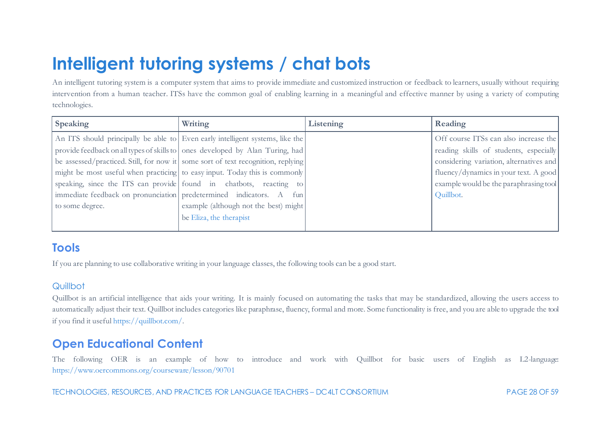# <span id="page-28-0"></span>**Intelligent tutoring systems / chat bots**

An intelligent tutoring system is a computer system that aims to provide immediate and customized instruction or feedback to learners, usually without requiring intervention from a human teacher. ITSs have the common goal of enabling learning in a meaningful and effective manner by using a variety of computing technologies.

| <b>Speaking</b> | Writing                                                                          | Listening | Reading                                 |
|-----------------|----------------------------------------------------------------------------------|-----------|-----------------------------------------|
|                 | An ITS should principally be able to Even early intelligent systems, like the    |           | Off course ITSs can also increase the   |
|                 | provide feedback on all types of skills to ones developed by Alan Turing, had    |           | reading skills of students, especially  |
|                 | be assessed/practiced. Still, for now it some sort of text recognition, replying |           | considering variation, alternatives and |
|                 | might be most useful when practicing to easy input. Today this is commonly       |           | fluency/dynamics in your text. A good   |
|                 | speaking, since the ITS can provide found in chatbots, reacting to               |           | example would be the paraphrasing tool  |
|                 | immediate feedback on pronunciation   predetermined indicators. A fun            |           | Quillbot.                               |
| to some degree. | example (although not the best) might                                            |           |                                         |
|                 | be Eliza, the therapist                                                          |           |                                         |
|                 |                                                                                  |           |                                         |

## **Tools**

If you are planning to use collaborative writing in your language classes, the following tools can be a good start.

## **Quillbot**

Quillbot is an artificial intelligence that aids your writing. It is mainly focused on automating the tasks that may be standardized, allowing the users access to automatically adjust their text. Quillbot includes categories like paraphrase, fluency, formal and more. Some functionality is free, and you are able to upgrade the tool if you find it usefu[l https://quillbot.com/.](https://quillbot.com/)

# **Open Educational Content**

The following OER is an example of how to introduce and work with Quillbot for basic users of English as L2-language: <https://www.oercommons.org/courseware/lesson/90701>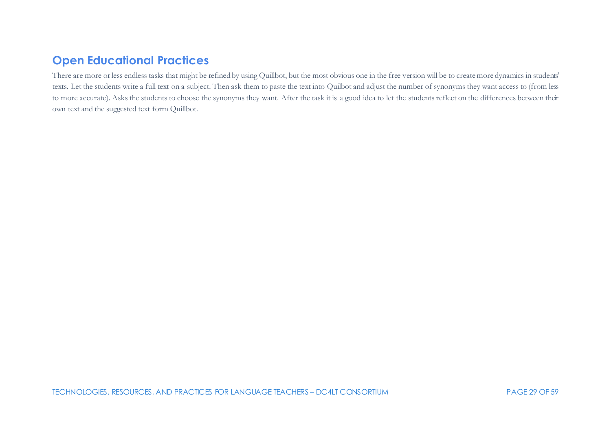# **Open Educational Practices**

There are more or less endless tasks that might be refined by using Quillbot, but the most obvious one in the free version will be to create more dynamics in students' texts. Let the students write a full text on a subject. Then ask them to paste the text into Quilbot and adjust the number of synonyms they want access to (from less to more accurate). Asks the students to choose the synonyms they want. After the task it is a good idea to let the students reflect on the differences between their own text and the suggested text form Quillbot.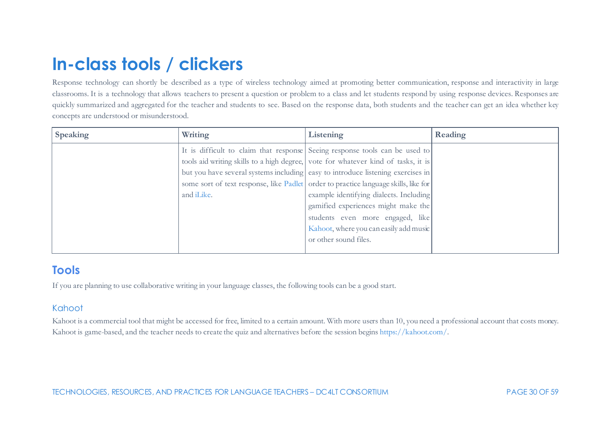# <span id="page-30-0"></span>**In-class tools / clickers**

Response technology can shortly be described as a type of wireless technology aimed at promoting better communication, response and interactivity in large classrooms. It is a technology that allows teachers to present a question or problem to a class and let students respond by using response devices. Responses are quickly summarized and aggregated for the teacher and students to see. Based on the response data, both students and the teacher can get an idea whether key concepts are understood or misunderstood.

| <b>Speaking</b> | Writing            | Listening                                                                           | Reading |
|-----------------|--------------------|-------------------------------------------------------------------------------------|---------|
|                 |                    | It is difficult to claim that response Seeing response tools can be used to         |         |
|                 |                    | tools aid writing skills to a high degree, vote for whatever kind of tasks, it is   |         |
|                 |                    | but you have several systems including easy to introduce listening exercises in     |         |
|                 |                    | some sort of text response, like Padlet order to practice language skills, like for |         |
|                 | and <i>iLike</i> . | example identifying dialects. Including                                             |         |
|                 |                    | gamified experiences might make the                                                 |         |
|                 |                    | students even more engaged, like                                                    |         |
|                 |                    | Kahoot, where you can easily add music                                              |         |
|                 |                    | or other sound files.                                                               |         |
|                 |                    |                                                                                     |         |

# **Tools**

If you are planning to use collaborative writing in your language classes, the following tools can be a good start.

## Kahoot

Kahoot is a commercial tool that might be accessed for free, limited to a certain amount. With more users than 10, you need a professional account that costs money. Kahoot is game-based, and the teacher needs to create the quiz and alternatives before the session begin[s https://kahoot.com/](https://kahoot.com/).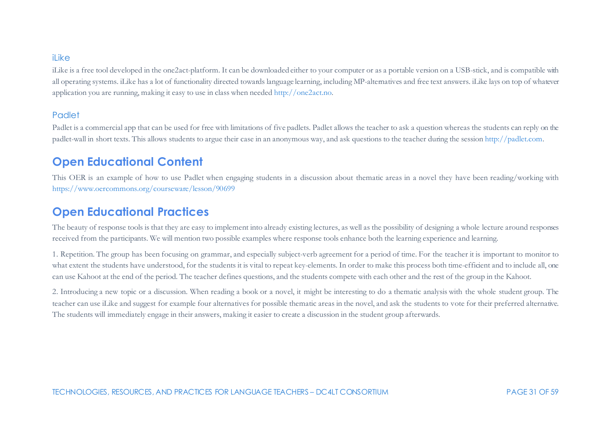#### il ike

iLike is a free tool developed in the one2act-platform. It can be downloaded either to your computer or as a portable version on a USB-stick, and is compatible with all operating systems. iLike has a lot of functionality directed towards language learning, including MP-alternatives and free text answers. iLike lays on top of whatever application you are running, making it easy to use in class when neede[d http://one2act.no.](http://one2act.no/)

#### **Padlet**

Padlet is a commercial app that can be used for free with limitations of five padlets. Padlet allows the teacher to ask a question whereas the students can reply on the padlet-wall in short texts. This allows students to argue their case in an anonymous way, and ask questions to the teacher during the sessio[n http://padlet.com](http://padlet.com/).

## **Open Educational Content**

This OER is an example of how to use Padlet when engaging students in a discussion about thematic areas in a novel they have been reading/working with <https://www.oercommons.org/courseware/lesson/90699>

## **Open Educational Practices**

The beauty of response tools is that they are easy to implement into already existing lectures, as well as the possibility of designing a whole lecture around responses received from the participants. We will mention two possible examples where response tools enhance both the learning experience and learning.

1. Repetition. The group has been focusing on grammar, and especially subject-verb agreement for a period of time. For the teacher it is important to monitor to what extent the students have understood, for the students it is vital to repeat key-elements. In order to make this process both time-efficient and to include all, one can use Kahoot at the end of the period. The teacher defines questions, and the students compete with each other and the rest of the group in the Kahoot.

2. Introducing a new topic or a discussion. When reading a book or a novel, it might be interesting to do a thematic analysis with the whole student group. The teacher can use iLike and suggest for example four alternatives for possible thematic areas in the novel, and ask the students to vote for their preferred alternative. The students will immediately engage in their answers, making it easier to create a discussion in the student group afterwards.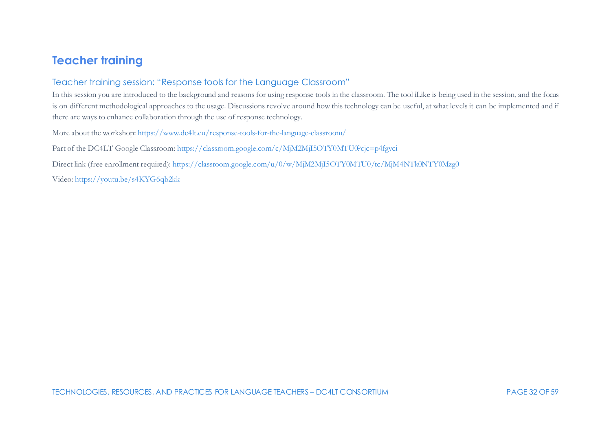## **Teacher training**

### Teacher training session: "Response tools for the Language Classroom"

In this session you are introduced to the background and reasons for using response tools in the classroom. The tool iLike is being used in the session, and the focus is on different methodological approaches to the usage. Discussions revolve around how this technology can be useful, at what levels it can be implemented and if there are ways to enhance collaboration through the use of response technology.

More about the workshop[: https://www.dc4lt.eu/response-tools-for-the-language-classroom/](https://www.dc4lt.eu/response-tools-for-the-language-classroom/)

Part of the DC4LT Google Classroom[: https://classroom.google.com/c/MjM2MjI5OTY0MTU0?cjc=p4fgvci](https://classroom.google.com/c/MjM2MjI5OTY0MTU0?cjc=p4fgvci)

Direct link (free enrollment required)[: https://classroom.google.com/u/0/w/MjM2MjI5OTY0MTU0/tc/MjM4NTk0NTY0Mzg0](https://classroom.google.com/u/0/w/MjM2MjI5OTY0MTU0/tc/MjM4NTk0NTY0Mzg0)

Video:<https://youtu.be/s4KYG6qb2kk>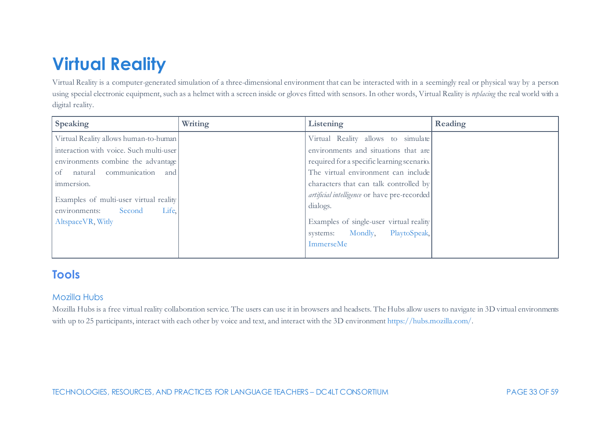# <span id="page-33-0"></span>**Virtual Reality**

Virtual Reality is a computer-generated simulation of a three-dimensional environment that can be interacted with in a seemingly real or physical way by a person using special electronic equipment, such as a helmet with a screen inside or gloves fitted with sensors. In other words, Virtual Reality is *replacing* the real world with a digital reality.

| <b>Speaking</b>                                                                                                                                                                                                                                                       | Writing | Listening                                                                                                                                                                                                                                                                                                                                                      | Reading |
|-----------------------------------------------------------------------------------------------------------------------------------------------------------------------------------------------------------------------------------------------------------------------|---------|----------------------------------------------------------------------------------------------------------------------------------------------------------------------------------------------------------------------------------------------------------------------------------------------------------------------------------------------------------------|---------|
| Virtual Reality allows human-to-human<br>interaction with voice. Such multi-user<br>environments combine the advantage<br>of natural communication and<br>immersion.<br>Examples of multi-user virtual reality<br>environments: Second<br>Life.<br>Altspace VR, Witly |         | Virtual Reality allows to simulate<br>environments and situations that are<br>required for a specific learning scenario.<br>The virtual environment can include<br>characters that can talk controlled by<br>artificial intelligence or have pre-recorded<br>dialogs.<br>Examples of single-user virtual reality<br>systems: Mondly, PlaytoSpeak,<br>ImmerseMe |         |
|                                                                                                                                                                                                                                                                       |         |                                                                                                                                                                                                                                                                                                                                                                |         |

# **Tools**

### Mozilla Hubs

Mozilla Hubs is a free virtual reality collaboration service. The users can use it in browsers and headsets. The Hubs allow users to navigate in 3D virtual environments with up to 25 participants, interact with each other by voice and text, and interact with the 3D environmen[t https://hubs.mozilla.com/.](https://hubs.mozilla.com/)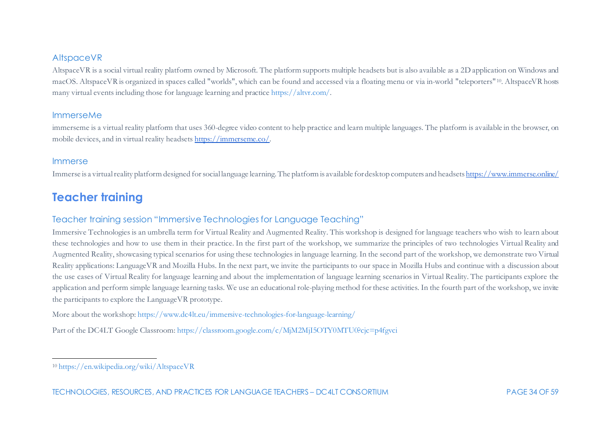#### <span id="page-34-0"></span>AltspaceVR

AltspaceVR is a social virtual reality platform owned by Microsoft. The platform supports multiple headsets but is also available as a 2D application on Windows and macOS. AltspaceVR is organized in spaces called "worlds", which can be found and accessed via a floating menu or via in-world "teleporters" [10](#page-34-0). AltspaceVR hosts many virtual events including those for language learning and practic[e https://altvr.com/](https://altvr.com/).

#### ImmerseMe

immerseme is a virtual reality platform that uses 360-degree video content to help practice and learn multiple languages. The platform is available in the browser, on mobile devices, and in virtual reality headset[s https://immerseme.co/](https://immerseme.co/).

#### Immerse

Immerse is a virtual reality platform designed for social language learning. The platform is available for desktop computers and headset[s https://www.immerse.online/](https://www.immerse.online/)

# **Teacher training**

### Teacher training session "Immersive Technologies for Language Teaching"

Immersive Technologies is an umbrella term for Virtual Reality and Augmented Reality. This workshop is designed for language teachers who wish to learn about these technologies and how to use them in their practice. In the first part of the workshop, we summarize the principles of two technologies Virtual Reality and Augmented Reality, showcasing typical scenarios for using these technologies in language learning. In the second part of the workshop, we demonstrate two Virtual Reality applications: LanguageVR and Mozilla Hubs. In the next part, we invite the participants to our space in Mozilla Hubs and continue with a discussion about the use cases of Virtual Reality for language learning and about the implementation of language learning scenarios in Virtual Reality. The participants explore the application and perform simple language learning tasks. We use an educational role-playing method for these activities. In the fourth part of the workshop, we invite the participants to explore the LanguageVR prototype.

More about the workshop[: https://www.dc4lt.eu/immersive-technologies-for-language-learning/](https://www.dc4lt.eu/immersive-technologies-for-language-learning/)

Part of the DC4LT Google Classroom[: https://classroom.google.com/c/MjM2MjI5OTY0MTU0?cjc=p4fgvci](https://classroom.google.com/c/MjM2MjI5OTY0MTU0?cjc=p4fgvci)

<sup>10</sup> <https://en.wikipedia.org/wiki/AltspaceVR>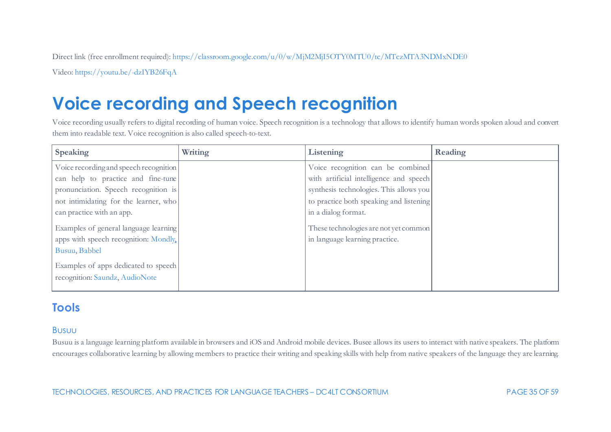Direct link (free enrollment required)[: https://classroom.google.com/u/0/w/MjM2MjI5OTY0MTU0/tc/MTczMTA3NDMxNDE0](https://classroom.google.com/u/0/w/MjM2MjI5OTY0MTU0/tc/MTczMTA3NDMxNDE0)

Video:<https://youtu.be/-dzIYB26FqA>

# <span id="page-35-0"></span>**Voice recording and Speech recognition**

Voice recording usually refers to digital recording of human voice. Speech recognition is a technology that allows to identify human words spoken aloud and convert them into readable text. Voice recognition is also called speech-to-text.

| <b>Speaking</b>                                                        | Writing | Listening                               | Reading |
|------------------------------------------------------------------------|---------|-----------------------------------------|---------|
| Voice recording and speech recognition                                 |         | Voice recognition can be combined       |         |
| can help to practice and fine-tune                                     |         | with artificial intelligence and speech |         |
| pronunciation. Speech recognition is                                   |         | synthesis technologies. This allows you |         |
| not intimidating for the learner, who                                  |         | to practice both speaking and listening |         |
| can practice with an app.                                              |         | in a dialog format.                     |         |
| Examples of general language learning                                  |         | These technologies are not yet common   |         |
| apps with speech recognition: Mondly                                   |         | in language learning practice.          |         |
| Busuu, Babbel                                                          |         |                                         |         |
| Examples of apps dedicated to speech<br>recognition: Saundz, AudioNote |         |                                         |         |

# **Tools**

### Busuu

Busuu is a language learning platform available in browsers and iOS and Android mobile devices. Busee allows its users to interact with native speakers. The platform encourages collaborative learning by allowing members to practice their writing and speaking skills with help from native speakers of the language they are learning.

TECHNOLOGIES, RESOURCES, AND PRACTICES FOR LANGUAGE TEACHERS – DC4LT CONSORTIUM PAGE 35 OF 59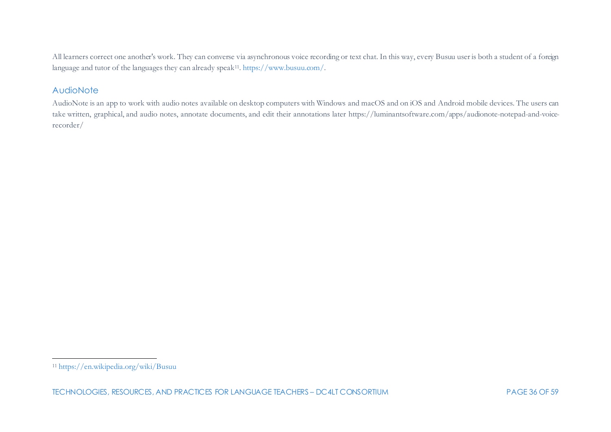<span id="page-36-0"></span>All learners correct one another's work. They can converse via asynchronous voice recording or text chat. In this way, every Busuu user is both a student of a foreign language and tutor of the languages they can already speak[11](#page-36-0)[. https://www.busuu.com/](https://www.busuu.com/).

#### **AudioNote**

AudioNote is an app to work with audio notes available on desktop computers with Windows and macOS and on iOS and Android mobile devices. The users can take written, graphical, and audio notes, annotate documents, and edit their annotations later [https://luminantsoftware.com/apps/audionote-notepad-and-voice](https://luminantsoftware.com/apps/audionote-notepad-and-voice-recorder/)[recorder/](https://luminantsoftware.com/apps/audionote-notepad-and-voice-recorder/)

<sup>11</sup> <https://en.wikipedia.org/wiki/Busuu>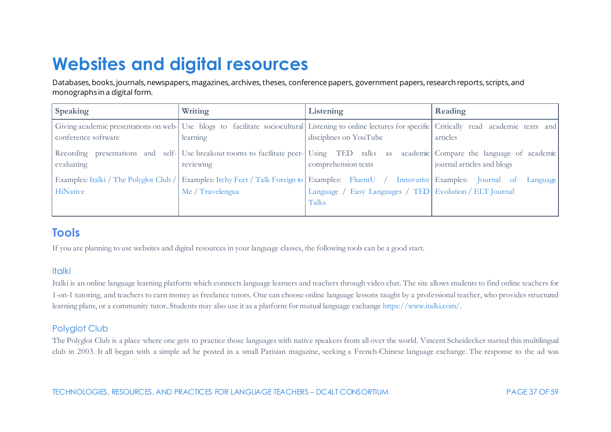# <span id="page-37-0"></span>**Websites and digital resources**

Databases, books, journals, newspapers, magazines, archives, theses, conference papers, government papers, research reports, scripts, and monographs in a digital form.

| Speaking                                           | Writing                                                                                                                                                              | Listening                                                          | Reading                    |
|----------------------------------------------------|----------------------------------------------------------------------------------------------------------------------------------------------------------------------|--------------------------------------------------------------------|----------------------------|
| conference software                                | Giving academic presentations on web- Use blogs to facilitate sociocultural Listening to online lectures for specific Critically read academic texts and<br>learning | disciplines on YouTube                                             | articles                   |
| evaluating                                         | Recording presentations and self- Use breakout rooms to facilitate peer- Using TED talks as academic Compare the language of academic<br>reviewing                   | comprehension texts                                                | journal articles and blogs |
| Examples: Italki / The Polyglot Club /<br>HiNative | Examples: Itchy Feet / Talk Foreign to Examples: FluentU / Innovative Examples: Journal of<br>Me / Travelengua                                                       | Language / Easy Languages / TED   Evolution / ELT Journal<br>Talks | Language                   |

# **Tools**

If you are planning to use websites and digital resources in your language classes, the following tools can be a good start.

### **Italki**

Italki is an online language learning platform which connects language learners and teachers through video chat. The site allows students to find online teachers for 1-on-1 tutoring, and teachers to earn money as freelance tutors. One can choose online language lessons taught by a professional teacher, who provides structured learning plans, or a community tutor. Students may also use it as a platform for mutual language exchang[e https://www.italki.com/.](https://www.italki.com/)

## Polyglot Club

The Polyglot Club is a place where one gets to practice those languages with native speakers from all over the world. Vincent Scheidecker started this multilingual club in 2003. It all began with a simple ad he posted in a small Parisian magazine, seeking a French-Chinese language exchange. The response to the ad was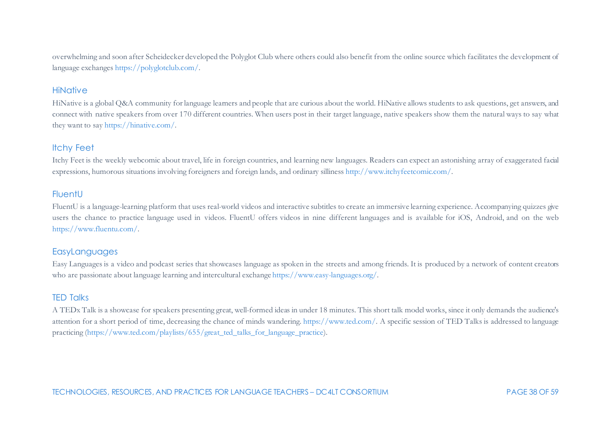overwhelming and soon after Scheidecker developed the Polyglot Club where others could also benefit from the online source which facilitates the development of language exchange[s https://polyglotclub.com/.](https://polyglotclub.com/)

#### **HiNative**

HiNative is a global Q&A community for language learners and people that are curious about the world. HiNative allows students to ask questions, get answers, and connect with native speakers from over 170 different countries. When users post in their target language, native speakers show them the natural ways to say what they want to sa[y https://hinative.com/.](https://hinative.com/en-US)

#### Itchy Feet

Itchy Feet is the weekly webcomic about travel, life in foreign countries, and learning new languages. Readers can expect an astonishing array of exaggerated facial expressions, humorous situations involving foreigners and foreign lands, and ordinary sillines[s http://www.itchyfeetcomic.com/](http://www.itchyfeetcomic.com/).

#### **FluentU**

FluentU is a language-learning platform that uses real-world videos and interactive subtitles to create an immersive learning experience. Accompanying quizzes give users the chance to practice language used in videos. FluentU offers videos in nine different languages and is available for iOS, Android, and on the web [https://www.fluentu.com/.](https://www.fluentu.com/)

#### EasyLanguages

Easy Languages is a video and podcast series that showcases language as spoken in the streets and among friends. It is produced by a network of content creators who are passionate about language learning and intercultural exchang[e https://www.easy-languages.org/](https://www.easy-languages.org/).

#### TED Talks

A TEDx Talk is a showcase for speakers presenting great, well-formed ideas in under 18 minutes. This short talk model works, since it only demands the audience's attention for a short period of time, decreasing the chance of minds wandering. [https://www.ted.com/.](https://www.ted.com/) A specific session of TED Talks is addressed to language practicing [\(https://www.ted.com/playlists/655/great\\_ted\\_talks\\_for\\_language\\_practice](https://www.ted.com/playlists/655/great_ted_talks_for_language_practice)).

TECHNOLOGIES, RESOURCES, AND PRACTICES FOR LANGUAGE TEACHERS – DC4LT CONSORTIUM PAGE 38 OF 59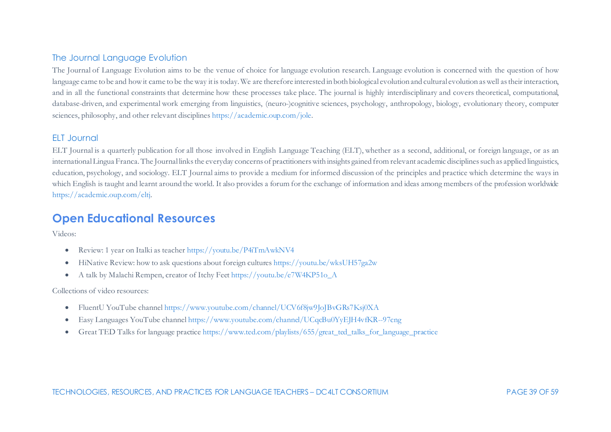#### The Journal Language Evolution

The Journal of Language Evolution aims to be the venue of choice for language evolution research. Language evolution is concerned with the question of how language came to be and how it came to be the way it is today. We are therefore interested in both biological evolution and cultural evolution as well as their interaction, and in all the functional constraints that determine how these processes take place. The journal is highly interdisciplinary and covers theoretical, computational, database-driven, and experimental work emerging from linguistics, (neuro-)cognitive sciences, psychology, anthropology, biology, evolutionary theory, computer sciences, philosophy, and other relevant discipline[s https://academic.oup.com/jole](https://academic.oup.com/jole).

### **ELT** Journal

ELT Journal is a quarterly publication for all those involved in English Language Teaching (ELT), whether as a second, additional, or foreign language, or as an international Lingua Franca. The Journal links the everyday concerns of practitioners with insights gained from relevant academic disciplines such as applied linguistics, education, psychology, and sociology. ELT Journal aims to provide a medium for informed discussion of the principles and practice which determine the ways in which English is taught and learnt around the world. It also provides a forum for the exchange of information and ideas among members of the profession worldwide <https://academic.oup.com/eltj>.

## **Open Educational Resources**

Videos:

- Review: 1 year on Italki as teache[r https://youtu.be/P4iTmAwkNV4](https://youtu.be/P4iTmAwkNV4)
- HiNative Review: how to ask questions about foreign culture[s https://youtu.be/wksUH57ga2w](https://youtu.be/wksUH57ga2w)
- A talk by Malachi Rempen, creator of Itchy Fee[t https://youtu.be/e7W4KP51o\\_A](https://youtu.be/e7W4KP51o_A)

Collections of video resources:

- FluentU YouTube channe[l https://www.youtube.com/channel/UCV6f8jw9JoJBvGRs7Ksj0XA](https://www.youtube.com/channel/UCV6f8jw9JoJBvGRs7Ksj0XA)
- Easy Languages YouTube channe[l https://www.youtube.com/channel/UCqcBu0YyEJH4vfKR--97cng](https://www.youtube.com/channel/UCqcBu0YyEJH4vfKR--97cng)
- Great TED Talks for language practic[e https://www.ted.com/playlists/655/great\\_ted\\_talks\\_for\\_language\\_practice](https://www.ted.com/playlists/655/great_ted_talks_for_language_practice)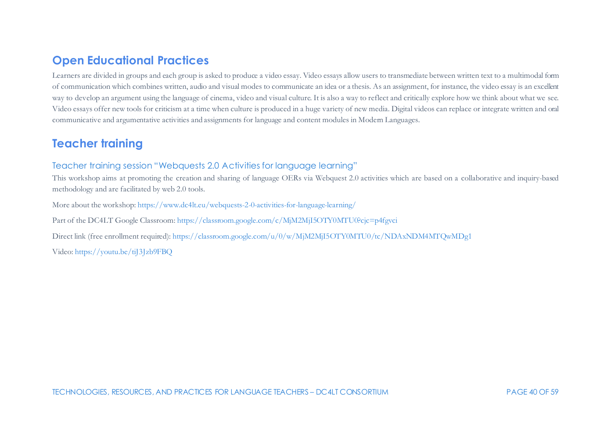## **Open Educational Practices**

Learners are divided in groups and each group is asked to produce a video essay. Video essays allow users to transmediate between written text to a multimodal form of communication which combines written, audio and visual modes to communicate an idea or a thesis. As an assignment, for instance, the video essay is an excellent way to develop an argument using the language of cinema, video and visual culture. It is also a way to reflect and critically explore how we think about what we see. Video essays offer new tools for criticism at a time when culture is produced in a huge variety of new media. Digital videos can replace or integrate written and oral communicative and argumentative activities and assignments for language and content modules in Modern Languages.

## **Teacher training**

### Teacher training session "Webquests 2.0 Activities for language learning"

This workshop aims at promoting the creation and sharing of language OERs via Webquest 2.0 activities which are based on a collaborative and inquiry-based methodology and are facilitated by web 2.0 tools.

More about the workshop[: https://www.dc4lt.eu/webquests-2-0-activities-for-language-learning/](https://www.dc4lt.eu/webquests-2-0-activities-for-language-learning/)

Part of the DC4LT Google Classroom[: https://classroom.google.com/c/MjM2MjI5OTY0MTU0?cjc=p4fgvci](https://classroom.google.com/c/MjM2MjI5OTY0MTU0?cjc=p4fgvci)

Direct link (free enrollment required)[: https://classroom.google.com/u/0/w/MjM2MjI5OTY0MTU0/tc/NDAxNDM4MTQwMDg1](https://classroom.google.com/u/0/w/MjM2MjI5OTY0MTU0/tc/NDAxNDM4MTQwMDg1)

Video:<https://youtu.be/tiJ3Jzb9FBQ>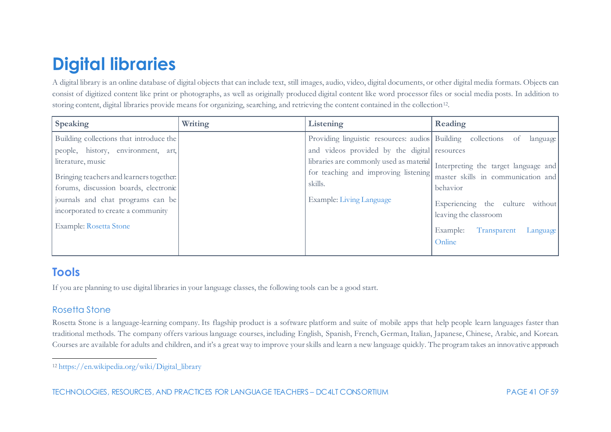# <span id="page-41-1"></span><span id="page-41-0"></span>**Digital libraries**

A digital library is an online database of digital objects that can include text, still images, audio, video, digital documents, or other digital media formats. Objects can consist of digitized content like print or photographs, as well as originally produced digital content like word processor files or social media posts. In addition to storing content, digital libraries provide means for organizing, searching, and retrieving the content contained in the collection<sup>12</sup>.

| <b>Speaking</b>                                                                                                                                                                         | Writing | Listening                                                                                                                                                                                                 | Reading                                                                                                    |
|-----------------------------------------------------------------------------------------------------------------------------------------------------------------------------------------|---------|-----------------------------------------------------------------------------------------------------------------------------------------------------------------------------------------------------------|------------------------------------------------------------------------------------------------------------|
| Building collections that introduce the<br>people, history, environment, art,<br>literature, music<br>Bringing teachers and learners together.<br>forums, discussion boards, electronic |         | Providing linguistic resources: audios Building collections<br>and videos provided by the digital resources<br>libraries are commonly used as material<br>for teaching and improving listening<br>skills. | language<br>of<br>Interpreting the target language and<br>master skills in communication and<br>behavior   |
| journals and chat programs can be<br>incorporated to create a community<br><b>Example: Rosetta Stone</b>                                                                                |         | Example: Living Language                                                                                                                                                                                  | Experiencing the culture without<br>leaving the classroom<br>Example:<br>Transparent<br>Language<br>Online |

# **Tools**

If you are planning to use digital libraries in your language classes, the following tools can be a good start.

## Rosetta Stone

Rosetta Stone is a language-learning company. Its flagship product is a software platform and suite of mobile apps that help people learn languages faster than traditional methods. The company offers various language courses, including English, Spanish, French, German, Italian, Japanese, Chinese, Arabic, and Korean. Courses are available for adults and children, and it's a great way to improve your skills and learn a new language quickly. The program takes an innovative approach

<sup>12</sup> [https://en.wikipedia.org/wiki/Digital\\_library](https://en.wikipedia.org/wiki/Digital_library)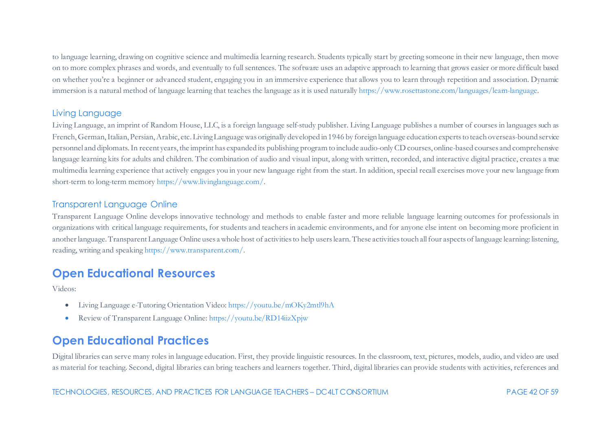to language learning, drawing on cognitive science and multimedia learning research. Students typically start by greeting someone in their new language, then move on to more complex phrases and words, and eventually to full sentences. The software uses an adaptive approach to learning that grows easier or more difficult based on whether you're a beginner or advanced student, engaging you in an immersive experience that allows you to learn through repetition and association. Dynamic immersion is a natural method of language learning that teaches the language as it is used naturall[y https://www.rosettastone.com/languages/learn-language.](https://www.rosettastone.com/languages/learn-language)

## Living Language

Living Language, an imprint of Random House, LLC, is a foreign language self-study publisher. Living Language publishes a number of courses in languages such as French, German, Italian, Persian, Arabic, etc. Living Language was originally developed in 1946 by foreign language education experts to teach overseas-bound service personnel and diplomats. In recent years, the imprint has expanded its publishing program to include audio-only CD courses, online-based courses and comprehensive language learning kits for adults and children. The combination of audio and visual input, along with written, recorded, and interactive digital practice, creates a true multimedia learning experience that actively engages you in your new language right from the start. In addition, special recall exercises move your new language from short-term to long-term memor[y https://www.livinglanguage.com/](https://www.livinglanguage.com/).

### Transparent Language Online

Transparent Language Online develops innovative technology and methods to enable faster and more reliable language learning outcomes for professionals in organizations with critical language requirements, for students and teachers in academic environments, and for anyone else intent on becoming more proficient in another language. Transparent Language Online uses a whole host of activities to help users learn. These activities touch allfour aspects of language learning: listening, reading, writing and speakin[g https://www.transparent.com/](https://www.transparent.com/).

## **Open Educational Resources**

Videos:

- Living Language e-Tutoring Orientation Video[: https://youtu.be/mOKy2mtl9hA](https://youtu.be/mOKy2mtl9hA)
- Review of Transparent Language Online[: https://youtu.be/RD14iizXpjw](https://youtu.be/RD14iizXpjw)

# **Open Educational Practices**

Digital libraries can serve many roles in language education. First, they provide linguistic resources. In the classroom, text, pictures, models, audio, and video are used as material for teaching. Second, digital libraries can bring teachers and learners together. Third, digital libraries can provide students with activities, references and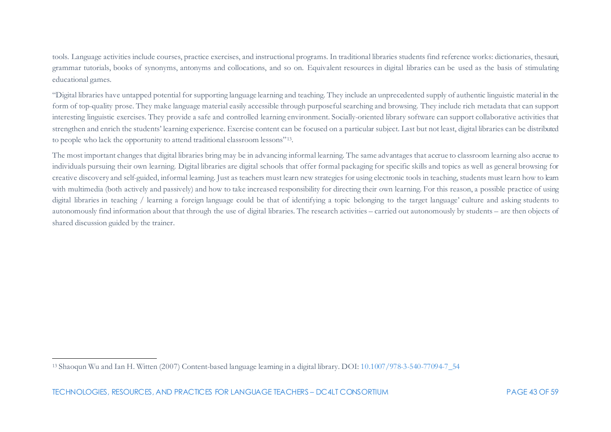<span id="page-43-0"></span>tools. Language activities include courses, practice exercises, and instructional programs. In traditional libraries students find reference works: dictionaries, thesauri, grammar tutorials, books of synonyms, antonyms and collocations, and so on. Equivalent resources in digital libraries can be used as the basis of stimulating educational games.

"Digital libraries have untapped potential for supporting language learning and teaching. They include an unprecedented supply of authentic linguistic material in the form of top-quality prose. They make language material easily accessible through purposeful searching and browsing. They include rich metadata that can support interesting linguistic exercises. They provide a safe and controlled learning environment. Socially-oriented library software can support collaborative activities that strengthen and enrich the students' learning experience. Exercise content can be focused on a particular subject. Last but not least, digital libraries can be distributed to people who lack the opportunity to attend traditional classroom lessons"[13.](#page-43-0)

The most important changes that digital libraries bring may be in advancing informal learning. The same advantages that accrue to classroom learning also accrue to individuals pursuing their own learning. Digital libraries are digital schools that offer formal packaging for specific skills and topics as well as general browsing for creative discovery and self-guided, informal learning. Just as teachers must learn new strategies for using electronic tools in teaching, students must learn how to learn with multimedia (both actively and passively) and how to take increased responsibility for directing their own learning. For this reason, a possible practice of using digital libraries in teaching / learning a foreign language could be that of identifying a topic belonging to the target language' culture and asking students to autonomously find information about that through the use of digital libraries. The research activities – carried out autonomously by students – are then objects of shared discussion guided by the trainer.

<sup>13</sup> Shaoqun Wu and Ian H. Witten (2007) Content-based language learning in a digital library. DOI[: 10.1007/978-3-540-77094-7\\_54](https://doi.org/10.1007/978-3-540-77094-7_54)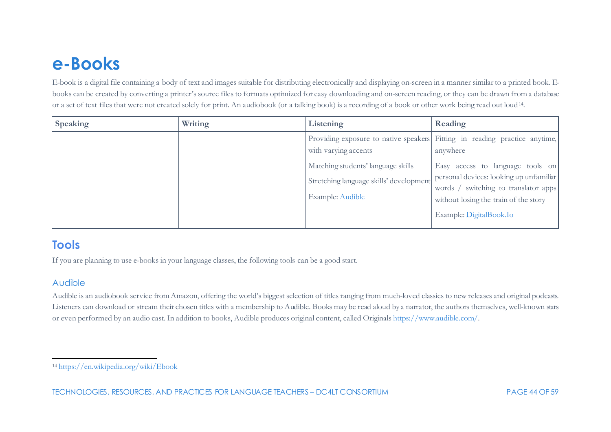# <span id="page-44-1"></span><span id="page-44-0"></span>**e-Books**

E-book is a digital file containing a body of text and images suitable for distributing electronically and displaying on-screen in a manner similar to a printed book. Ebooks can be created by converting a printer's source files to formats optimized for easy downloading and on-screen reading, or they can be drawn from a database or a set of text files that were not created solely for print. An audiobook (or a talking book) is a recording of a book or other work being read out loud[14.](#page-44-1)

| <b>Speaking</b> | Writing | Listening                                                                                                                 | Reading                                                                                                                                                                                                                                                                           |
|-----------------|---------|---------------------------------------------------------------------------------------------------------------------------|-----------------------------------------------------------------------------------------------------------------------------------------------------------------------------------------------------------------------------------------------------------------------------------|
|                 |         | with varying accents<br>Matching students' language skills<br>Stretching language skills' development<br>Example: Audible | Providing exposure to native speakers Fitting in reading practice anytime,<br>anywhere<br>Easy access to language tools on<br>personal devices: looking up unfamiliar<br>words / switching to translator apps<br>without losing the train of the story<br>Example: DigitalBook.Io |

## **Tools**

If you are planning to use e-books in your language classes, the following tools can be a good start.

### Audible

Audible is an audiobook service from Amazon, offering the world's biggest selection of titles ranging from much-loved classics to new releases and original podcasts. Listeners can download or stream their chosen titles with a membership to Audible. Books may be read aloud by a narrator, the authors themselves, well-known stars or even performed by an audio cast. In addition to books, Audible produces original content, called Original[s https://www.audible.com/](https://www.audible.com/).

<sup>14</sup> <https://en.wikipedia.org/wiki/Ebook>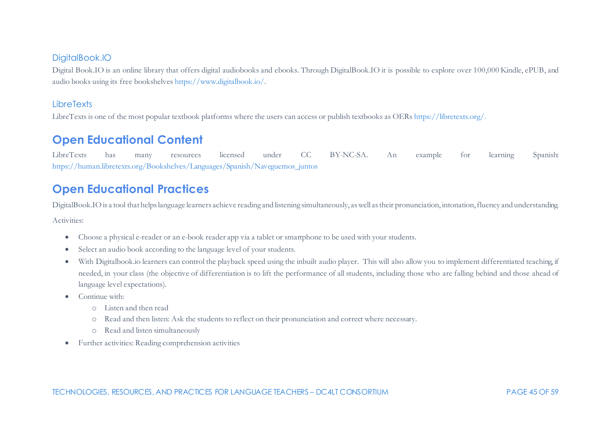#### DigitalBook.IO

Digital Book.IO is an online library that offers digital audiobooks and ebooks. Through DigitalBook.IO it is possible to explore over 100,000 Kindle, ePUB, and audio books using its free bookshelve[s https://www.digitalbook.io/.](https://www.digitalbook.io/)

### **LibreTexts**

LibreTexts is one of the most popular textbook platforms where the users can access or publish textbooks as OER[s https://libretexts.org/](https://libretexts.org/).

# **Open Educational Content**

LibreTexts has many resources licensed under CC BY-NC-SA. An example for learning Spanish: [https://human.libretexts.org/Bookshelves/Languages/Spanish/Naveguemos\\_juntos](https://human.libretexts.org/Bookshelves/Languages/Spanish/Naveguemos_juntos)

# **Open Educational Practices**

DigitalBook.IO is a tool that helps language learners achieve reading and listening simultaneously, as well as their pronunciation, intonation, fluency and understanding. Activities:

- Choose a physical e-reader or an e-book reader app via a tablet or smartphone to be used with your students.
- Select an audio book according to the language level of your students.
- With Digitalbook.io learners can control the playback speed using the inbuilt audio player. This will also allow you to implement differentiated teaching, if needed, in your class (the objective of differentiation is to lift the performance of all students, including those who are falling behind and those ahead of language level expectations).
- Continue with:
	- o Listen and then read
	- o Read and then listen: Ask the students to reflect on their pronunciation and correct where necessary.
	- o Read and listen simultaneously
- Further activities: Reading comprehension activities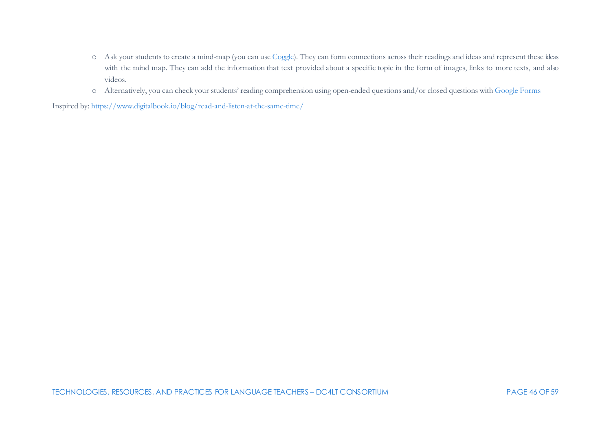- o Ask your students to create a mind-map (you can us[e Coggle\)](https://coggle.it/). They can form connections across their readings and ideas and represent these ideas with the mind map. They can add the information that text provided about a specific topic in the form of images, links to more texts, and also videos.
- o Alternatively, you can check your students' reading comprehension using open-ended questions and/or closed questions wit[h Google Forms](https://docs.google.com/forms/u/0/)

Inspired by[: https://www.digitalbook.io/blog/read-and-listen-at-the-same-time/](https://www.digitalbook.io/blog/read-and-listen-at-the-same-time/)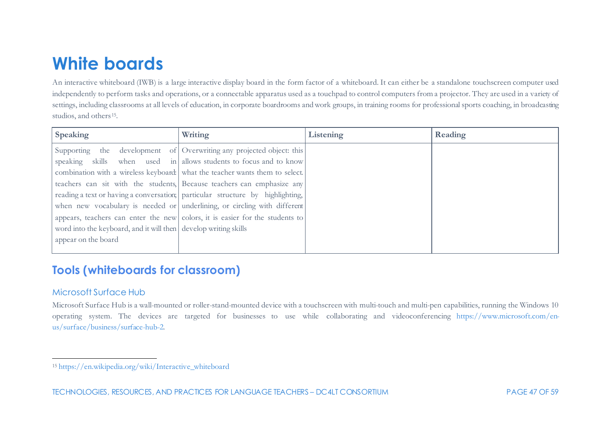# <span id="page-47-1"></span><span id="page-47-0"></span>**White boards**

An interactive whiteboard (IWB) is a large interactive display board in the form factor of a whiteboard. It can either be a standalone touchscreen computer used independently to perform tasks and operations, or a connectable apparatus used as a touchpad to control computers from a projector. They are used in a variety of settings, including classrooms at all levels of education, in corporate boardrooms and work groups, in training rooms for professional sports coaching, in broadcasting studios, and others<sup>[15](#page-47-1)</sup>.

| Speaking                                                        | Writing                                                                        | Listening | Reading |
|-----------------------------------------------------------------|--------------------------------------------------------------------------------|-----------|---------|
|                                                                 | Supporting the development of Overwriting any projected object: this           |           |         |
|                                                                 | speaking skills when used in allows students to focus and to know              |           |         |
|                                                                 | combination with a wireless keyboard: what the teacher wants them to select.   |           |         |
|                                                                 | teachers can sit with the students, Because teachers can emphasize any         |           |         |
|                                                                 | reading a text or having a conversation; particular structure by highlighting, |           |         |
|                                                                 | when new vocabulary is needed or underlining, or circling with different       |           |         |
|                                                                 | appears, teachers can enter the new colors, it is easier for the students to   |           |         |
| word into the keyboard, and it will then develop writing skills |                                                                                |           |         |
| appear on the board                                             |                                                                                |           |         |
|                                                                 |                                                                                |           |         |

# **Tools (whiteboards for classroom)**

## Microsoft Surface Hub

Microsoft Surface Hub is a wall-mounted or roller-stand-mounted device with a touchscreen with multi-touch and multi-pen capabilities, running the Windows 10 operating system. The devices are targeted for businesses to use while collaborating and videoconferencing [https://www.microsoft.com/en](https://www.microsoft.com/en-us/surface/business/surface-hub-2)[us/surface/business/surface-hub-2.](https://www.microsoft.com/en-us/surface/business/surface-hub-2)

<sup>15</sup> [https://en.wikipedia.org/wiki/Interactive\\_whiteboard](https://en.wikipedia.org/wiki/Interactive_whiteboard)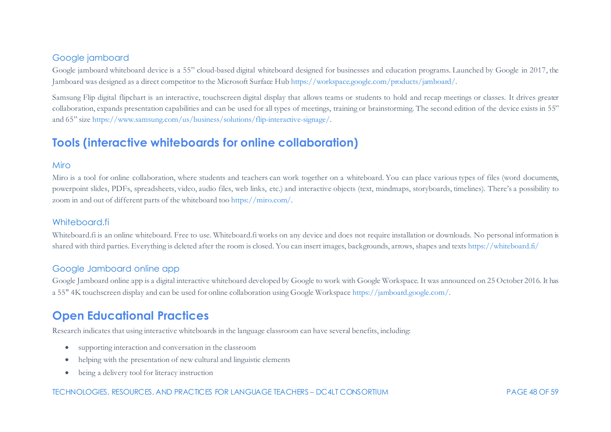#### Google jamboard

Google jamboard whiteboard device is a 55" cloud-based digital whiteboard designed for businesses and education programs. Launched by Google in 2017, the Jamboard was designed as a direct competitor to the Microsoft Surface Hu[b https://workspace.google.com/products/jamboard/](https://workspace.google.com/products/jamboard/).

Samsung Flip digital flipchart is an interactive, touchscreen digital display that allows teams or students to hold and recap meetings or classes. It drives greater collaboration, expands presentation capabilities and can be used for all types of meetings, training or brainstorming. The second edition of the device exists in 55" and 65" size<https://www.samsung.com/us/business/solutions/flip-interactive-signage/>.

## **Tools (interactive whiteboards for online collaboration)**

#### Miro

Miro is a tool for online collaboration, where students and teachers can work together on a whiteboard. You can place various types of files (word documents, powerpoint slides, PDFs, spreadsheets, video, audio files, web links, etc.) and interactive objects (text, mindmaps, storyboards, timelines). There's a possibility to zoom in and out of different parts of the whiteboard to[o https://miro.com/.](https://miro.com/)

#### Whiteboard.fi

Whiteboard.fi is an online whiteboard. Free to use. Whiteboard.fi works on any device and does not require installation or downloads. No personal information is shared with third parties. Everything is deleted after the room is closed. You can insert images, backgrounds, arrows, shapes and text[s https://whiteboard.fi/](https://whiteboard.fi/#home)

#### Google Jamboard online app

Google Jamboard online app is a digital interactive whiteboard developed by Google to work with Google Workspace. It was announced on 25 October 2016. It has a 55" 4K touchscreen display and can be used for online collaboration using Google Workspac[e https://jamboard.google.com/](https://jamboard.google.com/).

## **Open Educational Practices**

Research indicates that using interactive whiteboards in the language classroom can have several benefits, including:

- supporting interaction and conversation in the classroom
- helping with the presentation of new cultural and linguistic elements
- being a delivery tool for literacy instruction

#### TECHNOLOGIES, RESOURCES, AND PRACTICES FOR LANGUAGE TEACHERS – DC4LT CONSORTIUM PAGE 48 OF 59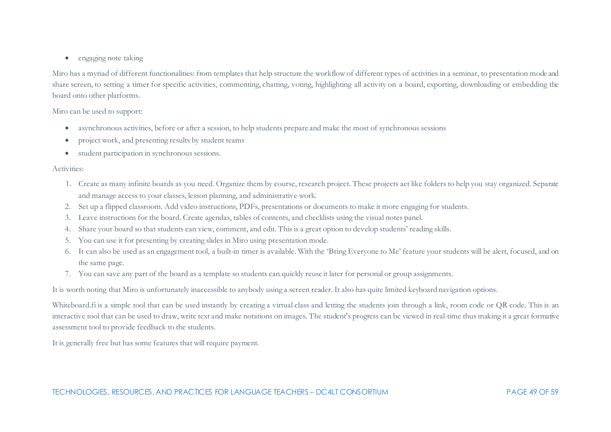• engaging note taking

Miro has a myriad of different functionalities: from templates that help structure the workflow of different types of activities in a seminar, to presentation mode and share screen, to setting a timer for specific activities, commenting, chatting, voting, highlighting all activity on a board, exporting, downloading or embedding the board onto other platforms.

#### Miro can be used to support:

- asynchronous activities, before or after a session, to help students prepare and make the most of synchronous sessions
- project work, and presenting results by student teams
- student participation in synchronous sessions.

#### Activities:

- 1. Create as many infinite boards as you need. Organize them by course, research project. These projects act like folders to help you stay organized. Separate and manage access to your classes, lesson planning, and administrative work.
- 2. Set up a flipped classroom. Add video instructions, PDFs, presentations or documents to make it more engaging for students.
- 3. Leave instructions for the board. Create agendas, tables of contents, and checklists using the visual notes panel.
- 4. Share your board so that students can view, comment, and edit. This is a great option to develop students' reading skills.
- 5. You can use it for presenting by creating slides in Miro using presentation mode.
- 6. It can also be used as an engagement tool, a built-in timer is available. With the 'Bring Everyone to Me' feature your students will be alert, focused, and on the same page.
- 7. You can save any part of the board as a template so students can quickly reuse it later for personal or group assignments.

It is worth noting that Miro is unfortunately inaccessible to anybody using a screen reader. It also has quite limited keyboard navigation options.

Whiteboard.fi is a simple tool that can be used instantly by creating a virtual class and letting the students join through a link, room code or QR code. This is an interactive tool that can be used to draw, write text and make notations on images. The student's progress can be viewed in real-time thus making it a great formative assessment tool to provide feedback to the students.

It is generally free but has some features that will require payment.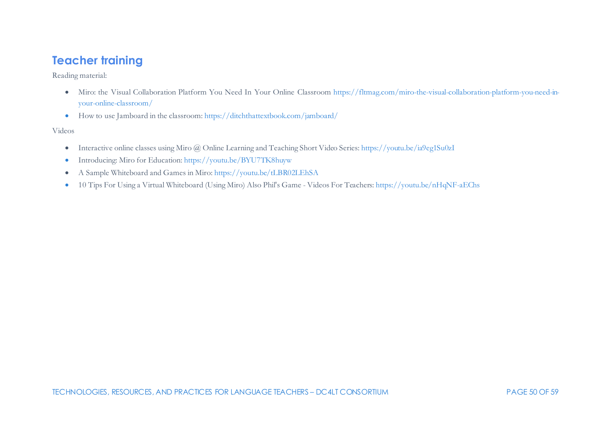# **Teacher training**

Reading material:

- Miro: the Visual Collaboration Platform You Need In Your Online Classroom [https://fltmag.com/miro-the-visual-collaboration-platform-you-need-in](https://fltmag.com/miro-the-visual-collaboration-platform-you-need-in-your-online-classroom/)[your-online-classroom/](https://fltmag.com/miro-the-visual-collaboration-platform-you-need-in-your-online-classroom/)
- How to use Jamboard in the classroom[: https://ditchthattextbook.com/jamboard/](https://ditchthattextbook.com/jamboard/)

Videos

- Interactive online classes using Miro @ Online Learning and Teaching Short Video Series[: https://youtu.be/ia9eg1Su0zI](https://youtu.be/ia9eg1Su0zI)
- Introducing: Miro for Education: <https://youtu.be/BYU7TK8huyw>
- A Sample Whiteboard and Games in Miro[: https://youtu.be/tLBR02LEhSA](https://youtu.be/tLBR02LEhSA)
- 10 Tips For Using a Virtual Whiteboard (Using Miro) Also Phil's Game Videos For Teachers[: https://youtu.be/nHqNF-aEChs](https://youtu.be/nHqNF-aEChs)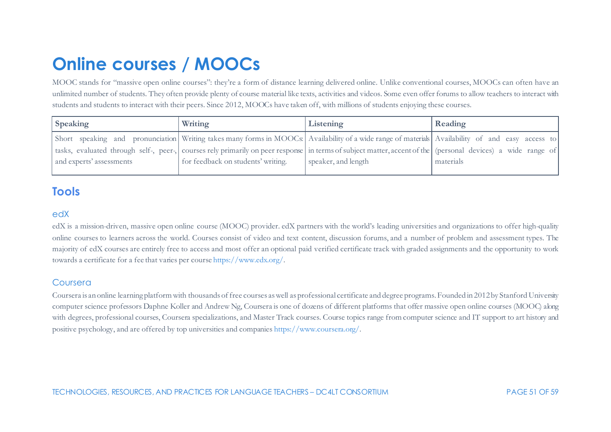# <span id="page-51-0"></span>**Online courses / MOOCs**

MOOC stands for "massive open online courses": they're a form of distance learning delivered online. Unlike conventional courses, MOOCs can often have an unlimited number of students. They often provide plenty of course material like texts, activities and videos. Some even offer forums to allow teachers to interact with students and students to interact with their peers. Since 2012, MOOCs have taken off, with millions of students enjoying these courses.

| <b>Speaking</b>                                                                                                                                             | Writing                            | Listening           | Reading   |
|-------------------------------------------------------------------------------------------------------------------------------------------------------------|------------------------------------|---------------------|-----------|
| Short speaking and pronunciation Writing takes many forms in MOOCs: Availability of a wide range of materials Availability of and easy access to            |                                    |                     |           |
| tasks, evaluated through self-, peer-, courses rely primarily on peer response in terms of subject matter, accent of the (personal devices) a wide range of |                                    |                     |           |
| and experts' assessments                                                                                                                                    | for feedback on students' writing. | speaker, and length | materials |
|                                                                                                                                                             |                                    |                     |           |

# **Tools**

#### edX

edX is a mission-driven, massive open online course (MOOC) provider. edX partners with the world's leading universities and organizations to offer high-quality online courses to learners across the world. Courses consist of video and text content, discussion forums, and a number of problem and assessment types. The majority of edX courses are entirely free to access and most offer an optional paid verified certificate track with graded assignments and the opportunity to work towards a certificate for a fee that varies per cours[e https://www.edx.org/.](https://www.edx.org/)

#### Coursera

Coursera is an online learning platform with thousands of free courses as well as professional certificate and degree programs. Founded in 2012 by Stanford University computer science professors Daphne Koller and Andrew Ng, Coursera is one of dozens of different platforms that offer massive open online courses (MOOC) along with degrees, professional courses, Coursera specializations, and Master Track courses. Course topics range from computer science and IT support to art history and positive psychology, and are offered by top universities and companie[s https://www.coursera.org/](https://www.coursera.org/).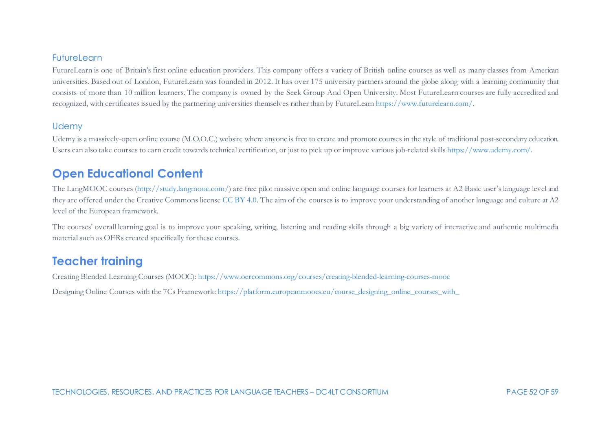#### FutureLearn

FutureLearn is one of Britain's first online education providers. This company offers a variety of British online courses as well as many classes from American universities. Based out of London, FutureLearn was founded in 2012. It has over 175 university partners around the globe along with a learning community that consists of more than 10 million learners. The company is owned by the Seek Group And Open University. Most FutureLearn courses are fully accredited and recognized, with certificates issued by the partnering universities themselves rather than by FutureLear[n https://www.futurelearn.com/](https://www.futurelearn.com/).

#### **Udemy**

Udemy is a massively-open online course (M.O.O.C.) website where anyone is free to create and promote courses in the style of traditional post-secondary education. Users can also take courses to earn credit towards technical certification, or just to pick up or improve various job-related skill[s https://www.udemy.com/](https://www.udemy.com/).

## **Open Educational Content**

The LangMOOC courses [\(http://study.langmooc.com/](http://study.langmooc.com/)) are free pilot massive open and online language courses for learners at A2 Basic user's language level and they are offered under the Creative Commons licens[e CC BY 4.0.](https://creativecommons.org/licenses/by/4.0/) The aim of the courses is to improve your understanding of another language and culture at A2 level of the European framework.

The courses' overall learning goal is to improve your speaking, writing, listening and reading skills through a big variety of interactive and authentic multimedia material such as OERs created specifically for these courses.

## **Teacher training**

Creating Blended Learning Courses (MOOC)[: https://www.oercommons.org/courses/creating-blended-learning-courses-mooc](https://www.oercommons.org/courses/creating-blended-learning-courses-mooc) Designing Online Courses with the 7Cs Framework[: https://platform.europeanmoocs.eu/course\\_designing\\_online\\_courses\\_with\\_](https://platform.europeanmoocs.eu/course_designing_online_courses_with_)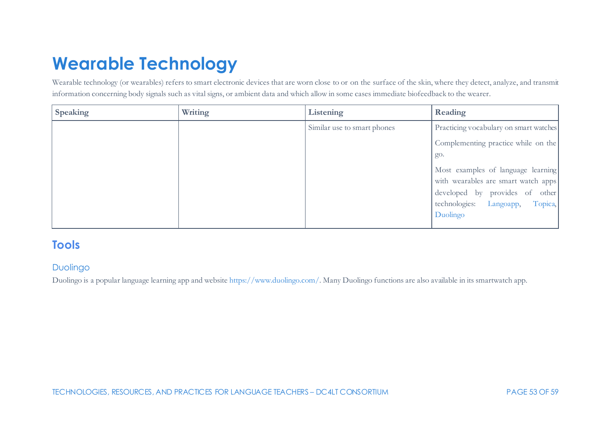# <span id="page-53-0"></span>**Wearable Technology**

Wearable technology (or wearables) refers to smart electronic devices that are worn close to or on the surface of the skin, where they detect, analyze, and transmit information concerning body signals such as vital signs, or ambient data and which allow in some cases immediate biofeedback to the wearer.

| <b>Speaking</b> | Writing | Listening                   | Reading                                |
|-----------------|---------|-----------------------------|----------------------------------------|
|                 |         | Similar use to smart phones | Practicing vocabulary on smart watches |
|                 |         |                             | Complementing practice while on the    |
|                 |         |                             | go.                                    |
|                 |         |                             | Most examples of language learning     |
|                 |         |                             | with wearables are smart watch apps    |
|                 |         |                             | developed by provides of other         |
|                 |         |                             | Topica,<br>technologies: Langoapp,     |
|                 |         |                             | Duolingo                               |
|                 |         |                             |                                        |

## **Tools**

## Duolingo

Duolingo is a popular language learning app and websit[e https://www.duolingo.com/.](https://www.duolingo.com/) Many Duolingo functions are also available in its smartwatch app.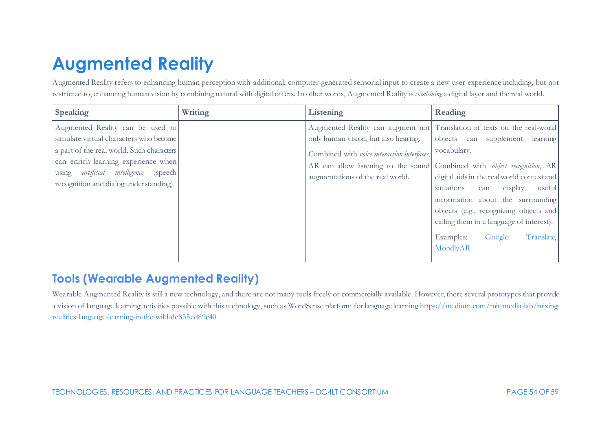# <span id="page-54-0"></span>**Augmented Reality**

Augmented Reality refers to enhancing human perception with additional, computer-generated sensorial input to create a new user experience including, but not restricted to, enhancing human vision by combining natural with digital offers. In other words, Augmented Reality is *combining* a digital layer and the real world.

| Speaking                                                                                                                                                                                                                                           | Writing | Listening                                                                                                               | Reading                                                                                                                                                                                                                                                                                                                                                                                                                                                                            |
|----------------------------------------------------------------------------------------------------------------------------------------------------------------------------------------------------------------------------------------------------|---------|-------------------------------------------------------------------------------------------------------------------------|------------------------------------------------------------------------------------------------------------------------------------------------------------------------------------------------------------------------------------------------------------------------------------------------------------------------------------------------------------------------------------------------------------------------------------------------------------------------------------|
| Augmented Reality can be used to<br>simulate virtual characters who become<br>a part of the real world. Such characters<br>can enrich learning experience when<br>using artificial intelligence (speech)<br>recognition and dialog understanding). |         | only human vision, but also hearing.<br>Combined with voice interaction interfaces,<br>augmentations of the real world. | Augmented Reality can augment not Translation of texts on the real-world<br>objects can supplement learning<br>vocabulary.<br>AR can allow listening to the sound Combined with <i>object recognition</i> , AR<br>digital aids in the real world context and<br>situations<br>useful<br>display<br>can<br>information about the surrounding<br>objects (e.g., recognizing objects and<br>calling them in a language of interest).<br>Google<br>Translate,<br>Examples:<br>MondlyAR |

# **Tools (Wearable Augmented Reality)**

Wearable Augmented Reality is still a new technology, and there are not many tools freely or commercially available. However, there several prototypes that provide a vision of language learning activities possible with this technology, such as WordSense platform for language learnin[g https://medium.com/mit-media-lab/mixing](https://medium.com/mit-media-lab/mixing-realities-language-learning-in-the-wild-dc835ed89c40)[realities-language-learning-in-the-wild-dc835ed89c40](https://medium.com/mit-media-lab/mixing-realities-language-learning-in-the-wild-dc835ed89c40)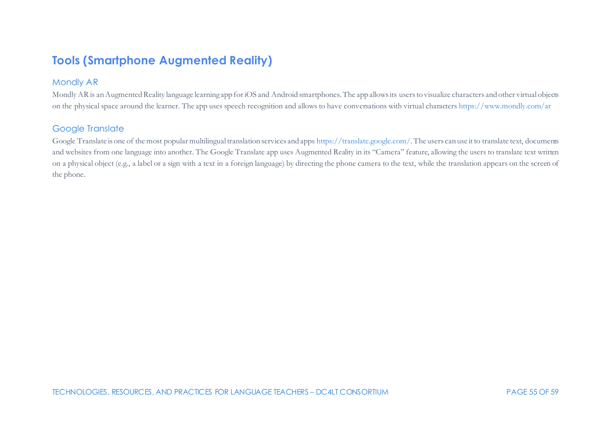# **Tools (Smartphone Augmented Reality)**

### Mondly AR

Mondly AR is an Augmented Reality language learning app for iOS and Android smartphones. The app allows its users to visualize characters and other virtual objects on the physical space around the learner. The app uses speech recognition and allows to have conversations with virtual character[s https://www.mondly.com/ar](https://www.mondly.com/ar)

## Google Translate

Google Translate is one of the most popular multilingual translation services and app[s https://translate.google.com/.](https://translate.google.com/) The users can use it to translate text, documents and websites from one language into another. The Google Translate app uses Augmented Reality in its "Camera" feature, allowing the users to translate text written on a physical object (e.g., a label or a sign with a text in a foreign language) by directing the phone camera to the text, while the translation appears on the screen of the phone.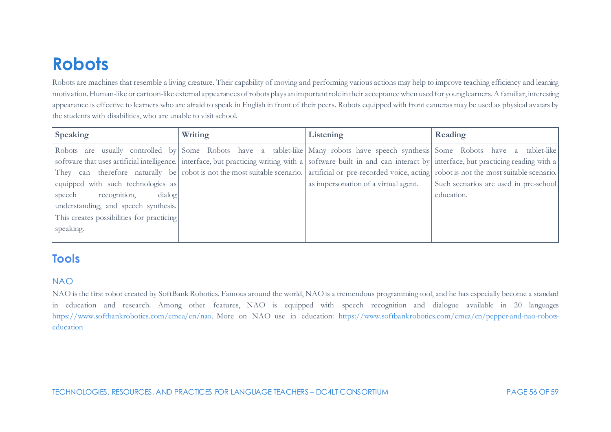# <span id="page-56-0"></span>**Robots**

Robots are machines that resemble a living creature. Their capability of moving and performing various actions may help to improve teaching efficiency and learning motivation. Human-like or cartoon-like external appearances of robots plays an important role in their acceptance when used for young learners. A familiar, interesting appearance is effective to learners who are afraid to speak in English in front of their peers. Robots equipped with front cameras may be used as physical avatars by the students with disabilities, who are unable to visit school.

| <b>Speaking</b>                                                                                                                                                     | Writing | Listening                            | Reading                               |
|---------------------------------------------------------------------------------------------------------------------------------------------------------------------|---------|--------------------------------------|---------------------------------------|
| Robots are usually controlled by Some Robots have a tablet-like Many robots have speech synthesis Some Robots have a tablet-like                                    |         |                                      |                                       |
| software that uses artificial intelligence. interface, but practicing writing with a software built in and can interact by interface, but practicing reading with a |         |                                      |                                       |
| They can therefore naturally be robot is not the most suitable scenario. artificial or pre-recorded voice, acting robot is not the most suitable scenario.          |         |                                      |                                       |
| equipped with such technologies as                                                                                                                                  |         | as impersonation of a virtual agent. | Such scenarios are used in pre-school |
| recognition,<br>dialog<br>speech                                                                                                                                    |         |                                      | education.                            |
| understanding, and speech synthesis.                                                                                                                                |         |                                      |                                       |
| This creates possibilities for practicing                                                                                                                           |         |                                      |                                       |
| speaking.                                                                                                                                                           |         |                                      |                                       |
|                                                                                                                                                                     |         |                                      |                                       |

# **Tools**

### NAO

NAO is the first robot created by SoftBank Robotics. Famous around the world, NAO is a tremendous programming tool, and he has especially become a standard in education and research. Among other features, NAO is equipped with speech recognition and dialogue available in 20 languages <https://www.softbankrobotics.com/emea/en/nao>. More on NAO use in education: [https://www.softbankrobotics.com/emea/en/pepper-and-nao-robots](https://www.softbankrobotics.com/emea/en/pepper-and-nao-robots-education)[education](https://www.softbankrobotics.com/emea/en/pepper-and-nao-robots-education)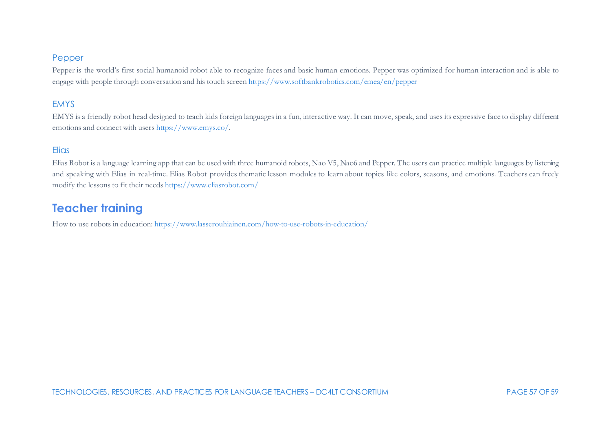#### Pepper

Pepper is the world's first social humanoid robot able to recognize faces and basic human emotions. Pepper was optimized for human interaction and is able to engage with people through conversation and his touch scree[n https://www.softbankrobotics.com/emea/en/pepper](https://www.softbankrobotics.com/emea/en/pepper)

### EMYS

EMYS is a friendly robot head designed to teach kids foreign languages in a fun, interactive way. It can move, speak, and uses its expressive face to display different emotions and connect with users [https://www.emys.co/.](https://www.emys.co/)

### **Elias**

Elias Robot is a language learning app that can be used with three humanoid robots, Nao V5, Nao6 and Pepper. The users can practice multiple languages by listening and speaking with Elias in real-time. Elias Robot provides thematic lesson modules to learn about topics like colors, seasons, and emotions. Teachers can freely modify the lessons to fit their needs <https://www.eliasrobot.com/>

## **Teacher training**

How to use robots in education[: https://www.lasserouhiainen.com/how-to-use-robots-in-education/](https://www.lasserouhiainen.com/how-to-use-robots-in-education/)